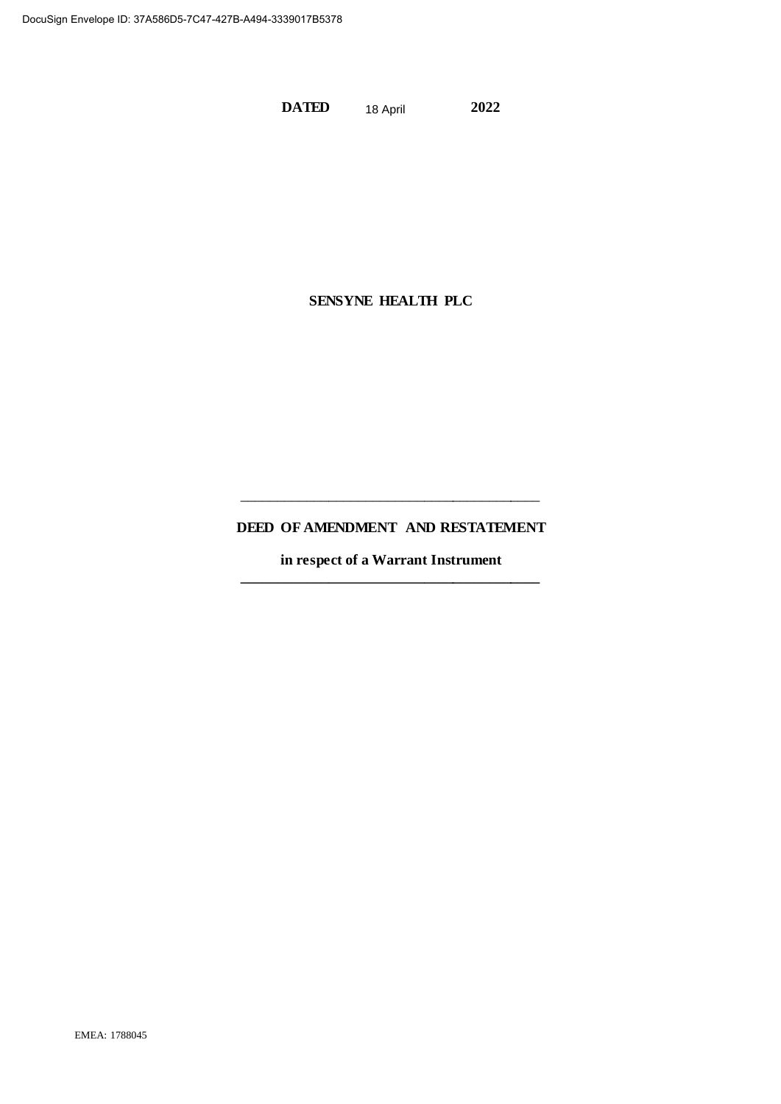**DATED 2022** 18 April

# **SENSYNE HEALTH PLC**

# **DEED OF AMENDMENT AND RESTATEMENT**

\_\_\_\_\_\_\_\_\_\_\_\_\_\_\_\_\_\_\_\_\_\_\_\_\_\_\_\_\_\_\_\_\_\_\_\_\_\_\_\_\_

**in respect of a Warrant Instrument \_\_\_\_\_\_\_\_\_\_\_\_\_\_\_\_\_\_\_\_\_\_\_\_\_\_\_\_\_\_\_\_\_\_\_\_\_\_\_\_\_**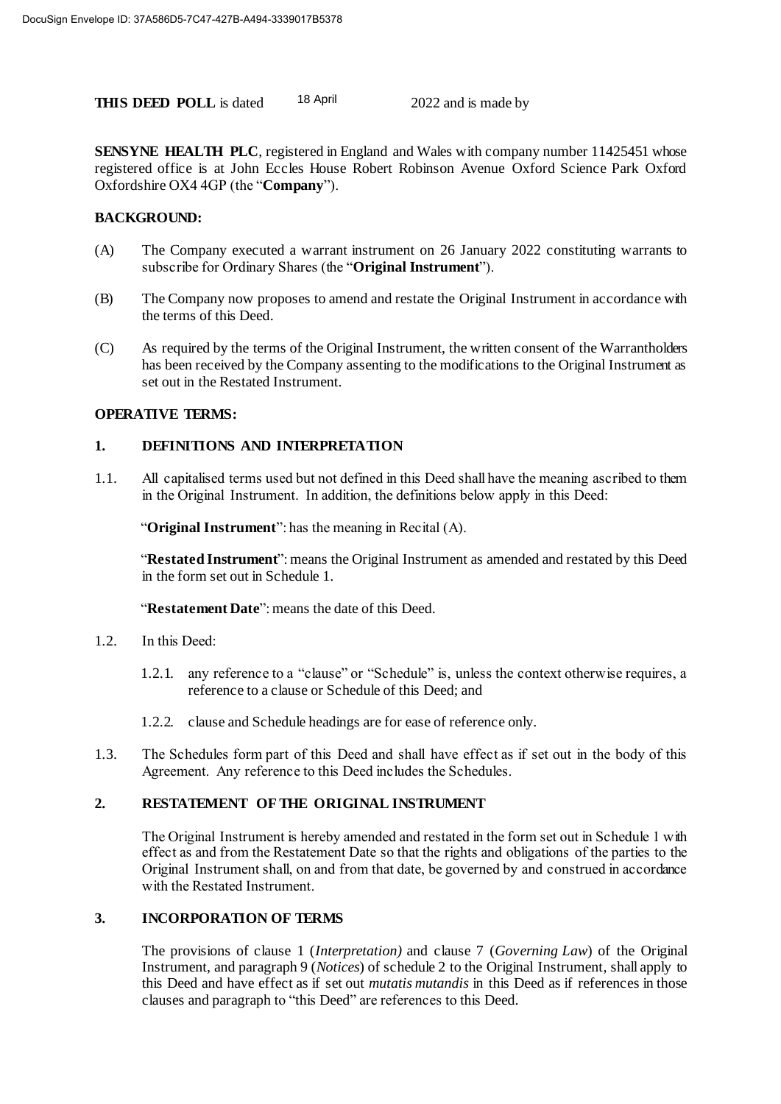**THIS DEED POLL** is dated <sup>18 April</sup> 2022 and is made by 18 April

**SENSYNE HEALTH PLC**, registered in England and Wales with company number 11425451 whose registered office is at John Eccles House Robert Robinson Avenue Oxford Science Park Oxford Oxfordshire OX4 4GP (the "**Company**").

### **BACKGROUND:**

- (A) The Company executed a warrant instrument on 26 January 2022 constituting warrants to subscribe for Ordinary Shares (the "**Original Instrument**").
- (B) The Company now proposes to amend and restate the Original Instrument in accordance with the terms of this Deed.
- (C) As required by the terms of the Original Instrument, the written consent of the Warrantholders has been received by the Company assenting to the modifications to the Original Instrument as set out in the Restated Instrument.

### **OPERATIVE TERMS:**

### **1. DEFINITIONS AND INTERPRETATION**

1.1. All capitalised terms used but not defined in this Deed shall have the meaning ascribed to them in the Original Instrument. In addition, the definitions below apply in this Deed:

"**Original Instrument**": has the meaning in Recital (A).

"**Restated Instrument**": means the Original Instrument as amended and restated by this Deed in the form set out in Schedule 1.

"**Restatement Date**": means the date of this Deed.

- 1.2. In this Deed:
	- 1.2.1. any reference to a "clause" or "Schedule" is, unless the context otherwise requires, a reference to a clause or Schedule of this Deed; and
	- 1.2.2. clause and Schedule headings are for ease of reference only.
- 1.3. The Schedules form part of this Deed and shall have effect as if set out in the body of this Agreement. Any reference to this Deed includes the Schedules.

### **2. RESTATEMENT OF THE ORIGINAL INSTRUMENT**

The Original Instrument is hereby amended and restated in the form set out in Schedule 1 with effect as and from the Restatement Date so that the rights and obligations of the parties to the Original Instrument shall, on and from that date, be governed by and construed in accordance with the Restated Instrument.

### **3. INCORPORATION OF TERMS**

The provisions of clause 1 (*Interpretation)* and clause 7 (*Governing Law*) of the Original Instrument, and paragraph 9 (*Notices*) of schedule 2 to the Original Instrument, shall apply to this Deed and have effect as if set out *mutatis mutandis* in this Deed as if references in those clauses and paragraph to "this Deed" are references to this Deed.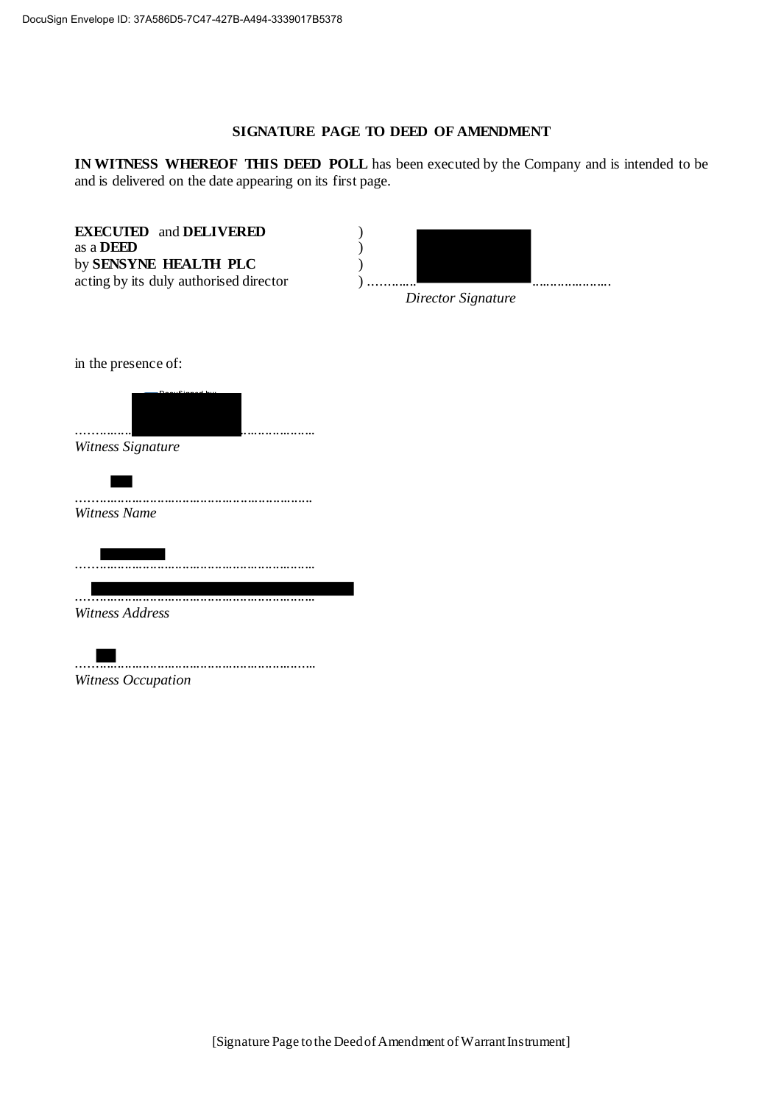#### **SIGNATURE PAGE TO DEED OF AMENDMENT**

**IN WITNESS WHEREOF THIS DEED POLL** has been executed by the Company and is intended to be and is delivered on the date appearing on its first page.

**EXECUTED** and **DELIVERED** ) as a **DEED** ) by **SENSYNE HEALTH PLC** )



*Director Signature*

in the presence of:



*Witness Signature*



..................................................................

..................................................................

*Witness Address*



.................................................................. *Witness Occupation*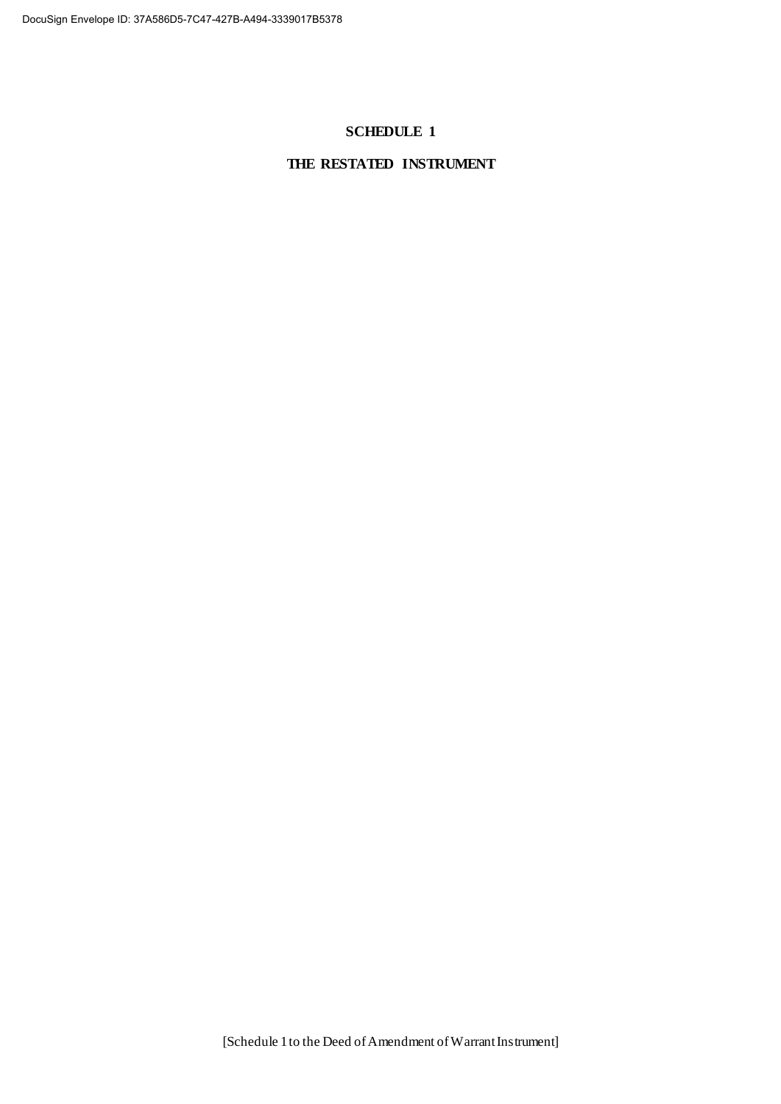### **SCHEDULE 1**

## **THE RESTATED INSTRUMENT**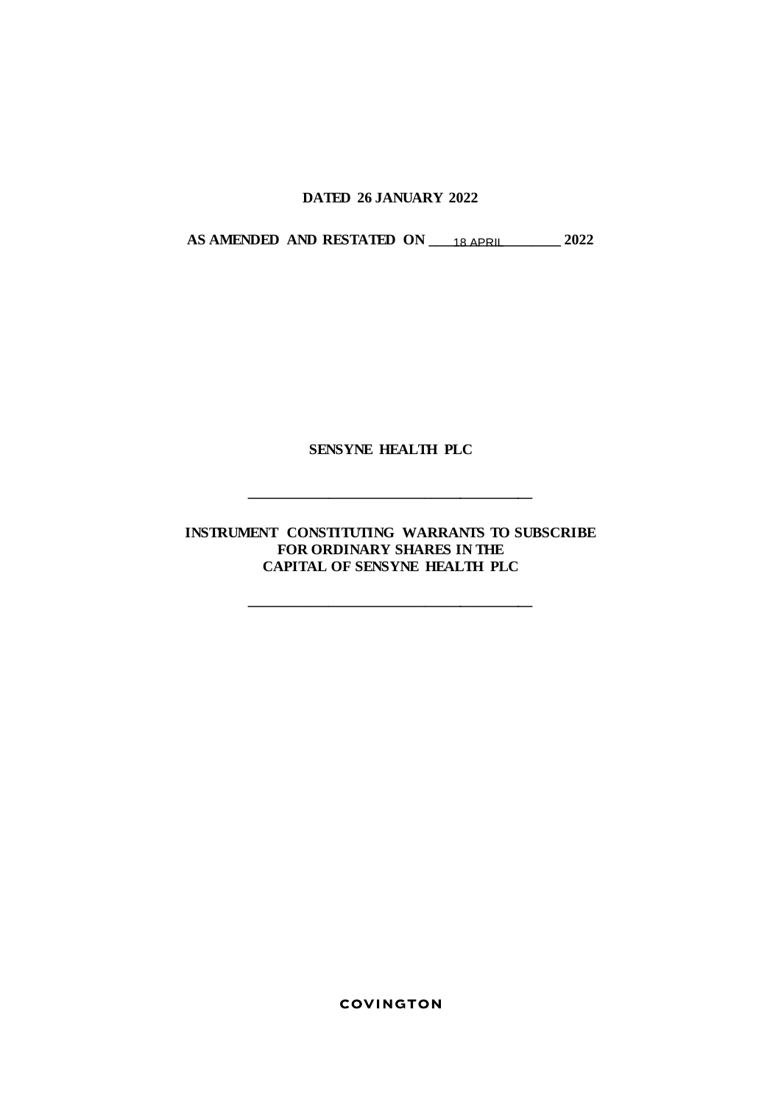## **DATED 26 JANUARY 2022**

**AS AMENDED AND RESTATED ON \_\_\_\_\_\_\_\_\_\_\_\_\_\_\_\_\_\_ 2022** 18 APRIL

## **SENSYNE HEALTH PLC**

**\_\_\_\_\_\_\_\_\_\_\_\_\_\_\_\_\_\_\_\_\_\_\_\_\_\_\_\_\_\_\_\_\_\_\_\_\_\_\_**

**INSTRUMENT CONSTITUTING WARRANTS TO SUBSCRIBE FOR ORDINARY SHARES IN THE CAPITAL OF SENSYNE HEALTH PLC**

**\_\_\_\_\_\_\_\_\_\_\_\_\_\_\_\_\_\_\_\_\_\_\_\_\_\_\_\_\_\_\_\_\_\_\_\_\_\_\_**

**COVINGTON**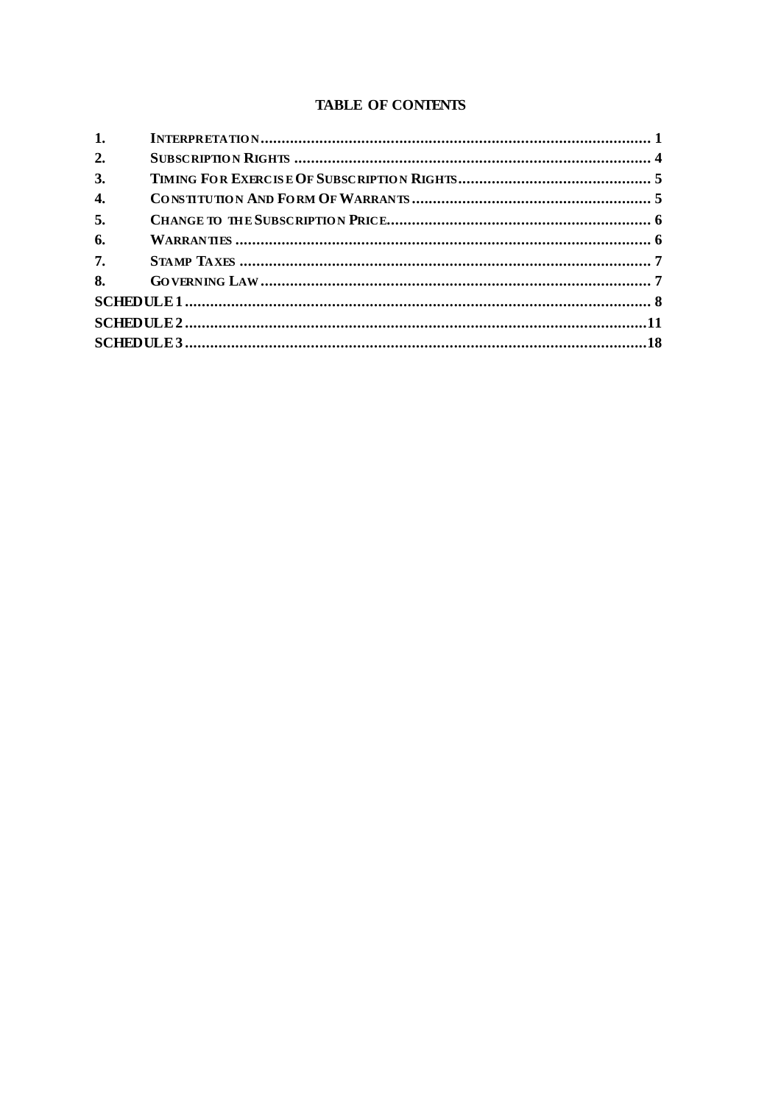## **TABLE OF CONTENTS**

| 1. |  |  |
|----|--|--|
| 2. |  |  |
| 3. |  |  |
| 4. |  |  |
| 5. |  |  |
| 6. |  |  |
| 7. |  |  |
| 8. |  |  |
|    |  |  |
|    |  |  |
|    |  |  |
|    |  |  |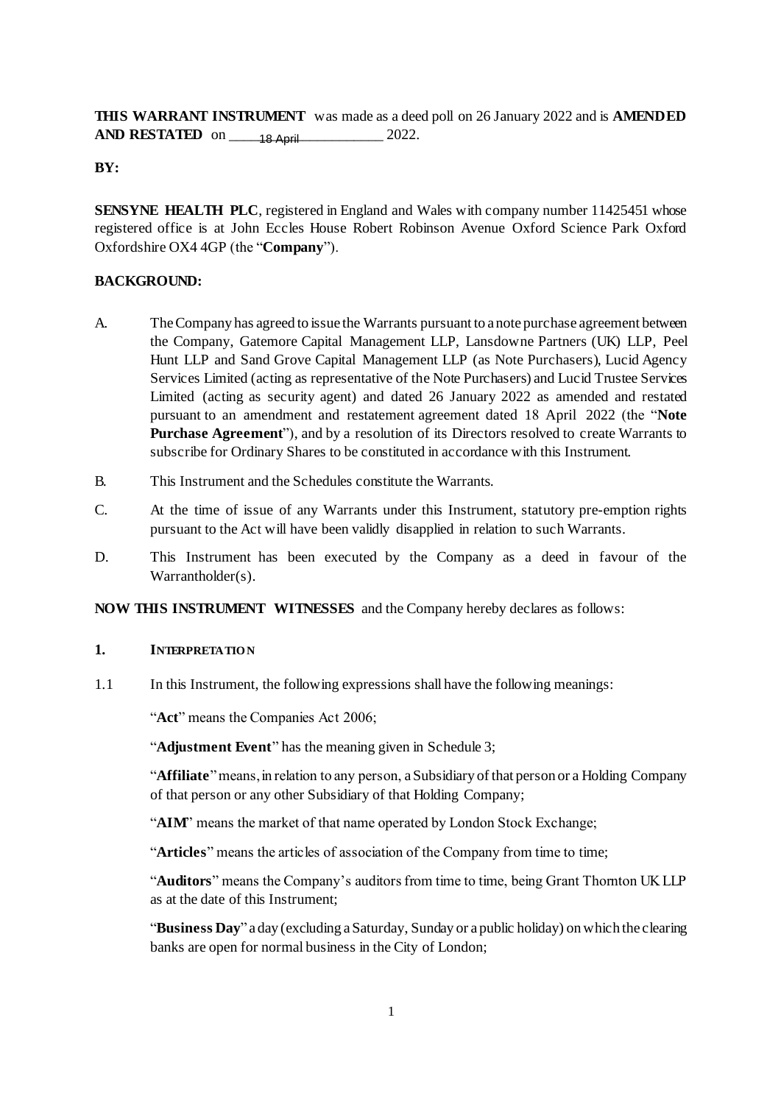**THIS WARRANT INSTRUMENT** was made as a deed poll on 26 January 2022 and is **AMENDED AND RESTATED** on \_\_\_\_\_\_\_\_\_\_\_\_\_\_\_\_\_\_\_\_\_ 2022. 18 April

**BY:**

**SENSYNE HEALTH PLC**, registered in England and Wales with company number 11425451 whose registered office is at John Eccles House Robert Robinson Avenue Oxford Science Park Oxford Oxfordshire OX4 4GP (the "**Company**").

### **BACKGROUND:**

- A. TheCompany has agreed to issue the Warrants pursuant to a note purchase agreement between the Company, Gatemore Capital Management LLP, Lansdowne Partners (UK) LLP, Peel Hunt LLP and Sand Grove Capital Management LLP (as Note Purchasers), Lucid Agency Services Limited (acting as representative of the Note Purchasers) and Lucid Trustee Services Limited (acting as security agent) and dated 26 January 2022 as amended and restated pursuant to an amendment and restatement agreement dated 18 April 2022 (the "**Note Purchase Agreement**"), and by a resolution of its Directors resolved to create Warrants to subscribe for Ordinary Shares to be constituted in accordance with this Instrument.
- B. This Instrument and the Schedules constitute the Warrants.
- C. At the time of issue of any Warrants under this Instrument, statutory pre-emption rights pursuant to the Act will have been validly disapplied in relation to such Warrants.
- D. This Instrument has been executed by the Company as a deed in favour of the Warrantholder(s).

**NOW THIS INSTRUMENT WITNESSES** and the Company hereby declares as follows:

### **1. INTERPRETATIO N**

1.1 In this Instrument, the following expressions shall have the following meanings:

"**Act**" means the Companies Act 2006;

"**Adjustment Event**" has the meaning given in Schedule 3;

"**Affiliate**" means, in relation to any person, a Subsidiary of that person or a Holding Company of that person or any other Subsidiary of that Holding Company;

"AIM" means the market of that name operated by London Stock Exchange;

"Articles" means the articles of association of the Company from time to time;

"**Auditors**" means the Company's auditors from time to time, being Grant Thornton UK LLP as at the date of this Instrument;

"**Business Day**" a day (excluding aSaturday, Sunday or a public holiday) on which the clearing banks are open for normal business in the City of London;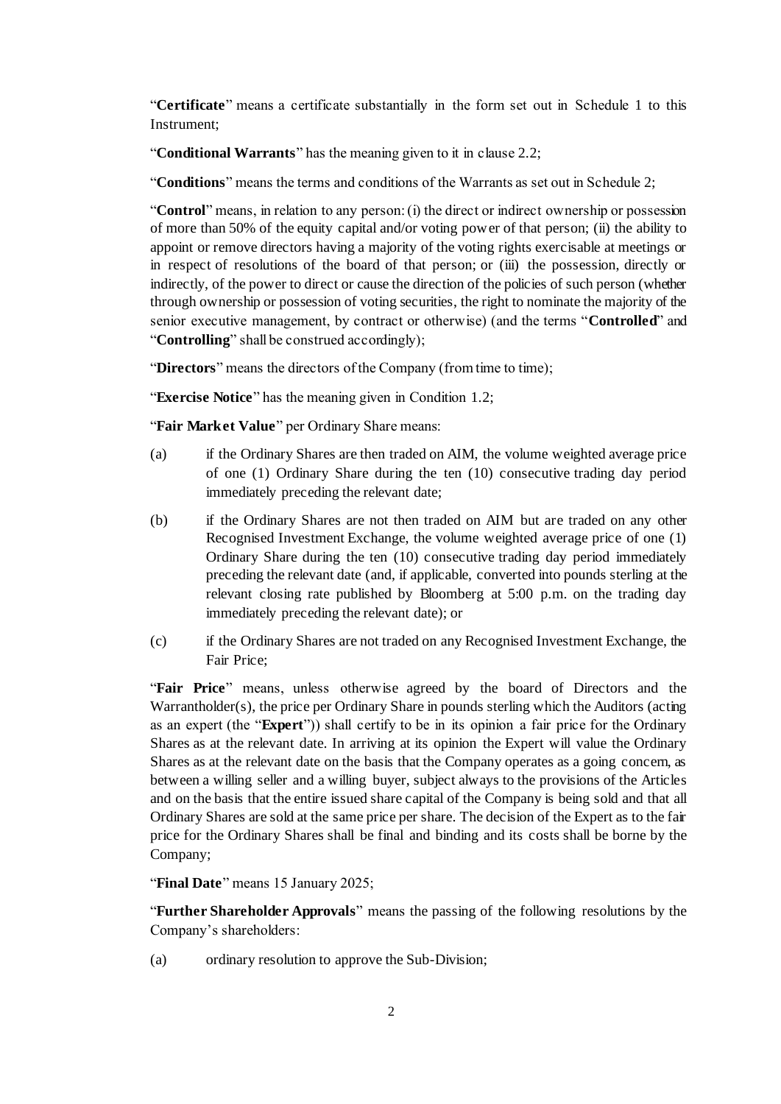"**Certificate**" means a certificate substantially in the form set out in Schedule 1 to this Instrument;

"**Conditional Warrants**" has the meaning given to it in clause 2.2;

"**Conditions**" means the terms and conditions of the Warrants as set out in Schedule 2;

"**Control**" means, in relation to any person: (i) the direct or indirect ownership or possession of more than 50% of the equity capital and/or voting power of that person; (ii) the ability to appoint or remove directors having a majority of the voting rights exercisable at meetings or in respect of resolutions of the board of that person; or (iii) the possession, directly or indirectly, of the power to direct or cause the direction of the policies of such person (whether through ownership or possession of voting securities, the right to nominate the majority of the senior executive management, by contract or otherwise) (and the terms "**Controlled**" and "**Controlling**" shall be construed accordingly);

"**Directors**" means the directors of the Company (from time to time);

"**Exercise Notice**" has the meaning given in Condition [1.2;](#page--1-4)

"**Fair Market Value**" per Ordinary Share means:

- (a) if the Ordinary Shares are then traded on AIM, the volume weighted average price of one (1) Ordinary Share during the ten (10) consecutive trading day period immediately preceding the relevant date;
- (b) if the Ordinary Shares are not then traded on AIM but are traded on any other Recognised Investment Exchange, the volume weighted average price of one (1) Ordinary Share during the ten (10) consecutive trading day period immediately preceding the relevant date (and, if applicable, converted into pounds sterling at the relevant closing rate published by Bloomberg at 5:00 p.m. on the trading day immediately preceding the relevant date); or
- (c) if the Ordinary Shares are not traded on any Recognised Investment Exchange, the Fair Price;

"**Fair Price**" means, unless otherwise agreed by the board of Directors and the Warrantholder(s), the price per Ordinary Share in pounds sterling which the Auditors (acting as an expert (the "**Expert**")) shall certify to be in its opinion a fair price for the Ordinary Shares as at the relevant date. In arriving at its opinion the Expert will value the Ordinary Shares as at the relevant date on the basis that the Company operates as a going concern, as between a willing seller and a willing buyer, subject always to the provisions of the Articles and on the basis that the entire issued share capital of the Company is being sold and that all Ordinary Shares are sold at the same price per share. The decision of the Expert as to the fair price for the Ordinary Shares shall be final and binding and its costs shall be borne by the Company;

"**Final Date**" means 15 January 2025;

"**Further Shareholder Approvals**" means the passing of the following resolutions by the Company's shareholders:

(a) ordinary resolution to approve the Sub-Division;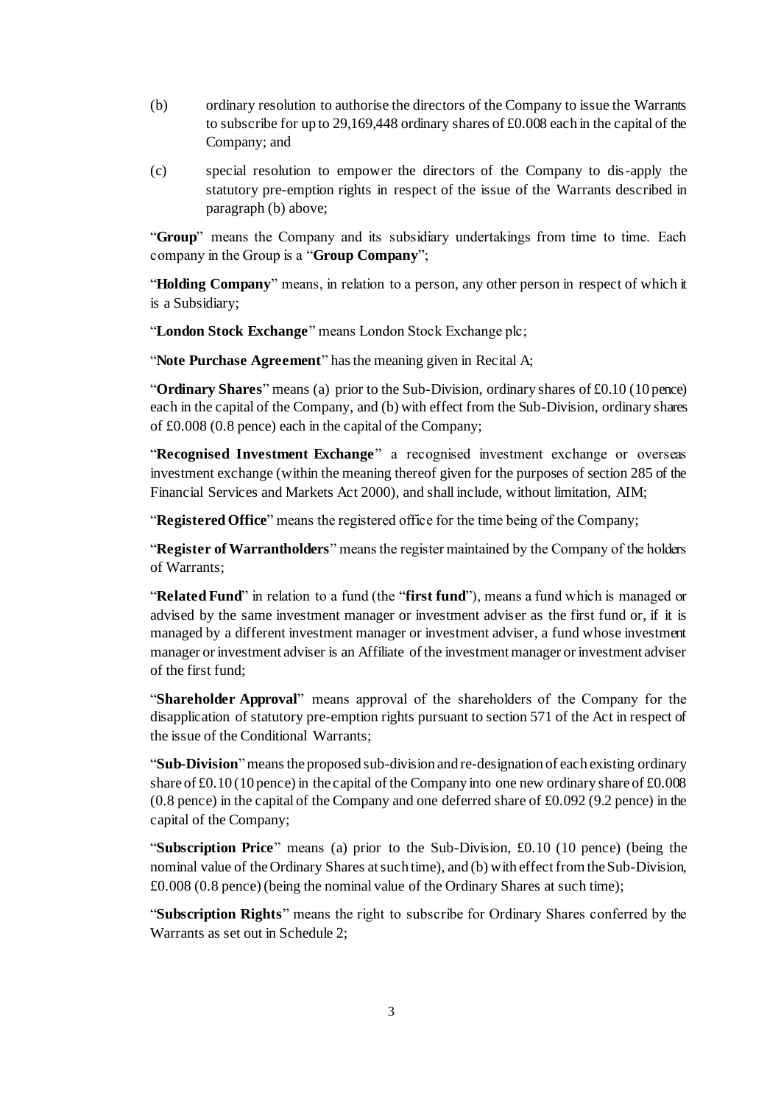- (b) ordinary resolution to authorise the directors of the Company to issue the Warrants to subscribe for up to 29,169,448 ordinary shares of £0.008 each in the capital of the Company; and
- (c) special resolution to empower the directors of the Company to dis-apply the statutory pre-emption rights in respect of the issue of the Warrants described in paragraph (b) above;

"**Group**" means the Company and its subsidiary undertakings from time to time. Each company in the Group is a "**Group Company**";

"**Holding Company**" means, in relation to a person, any other person in respect of which it is a Subsidiary;

"**London Stock Exchange**" means London Stock Exchange plc;

"**Note Purchase Agreement**" has the meaning given in Recital A;

"**Ordinary Shares**" means (a) prior to the Sub-Division, ordinary shares of £0.10 (10 pence) each in the capital of the Company, and (b) with effect from the Sub-Division, ordinary shares of £0.008 (0.8 pence) each in the capital of the Company;

"**Recognised Investment Exchange**" a recognised investment exchange or overseas investment exchange (within the meaning thereof given for the purposes of section 285 of the Financial Services and Markets Act 2000), and shall include, without limitation, AIM;

"**Registered Office**" means the registered office for the time being of the Company;

"**Register of Warrantholders**" means the register maintained by the Company of the holders of Warrants;

"**Related Fund**" in relation to a fund (the "**first fund**"), means a fund which is managed or advised by the same investment manager or investment adviser as the first fund or, if it is managed by a different investment manager or investment adviser, a fund whose investment manager or investment adviser is an Affiliate of the investment manager or investment adviser of the first fund;

"**Shareholder Approval**" means approval of the shareholders of the Company for the disapplication of statutory pre-emption rights pursuant to section 571 of the Act in respect of the issue of the Conditional Warrants;

"**Sub-Division**"means the proposed sub-division and re-designation of each existing ordinary share of  $\text{\pounds}0.10$  (10 pence) in the capital of the Company into one new ordinary share of  $\text{\pounds}0.008$ (0.8 pence) in the capital of the Company and one deferred share of £0.092 (9.2 pence) in the capital of the Company;

"**Subscription Price**" means (a) prior to the Sub-Division, £0.10 (10 pence) (being the nominal value of the Ordinary Shares at such time), and (b) with effect from the Sub-Division, £0.008 (0.8 pence) (being the nominal value of the Ordinary Shares at such time);

"**Subscription Rights**" means the right to subscribe for Ordinary Shares conferred by the Warrants as set out in Schedule 2;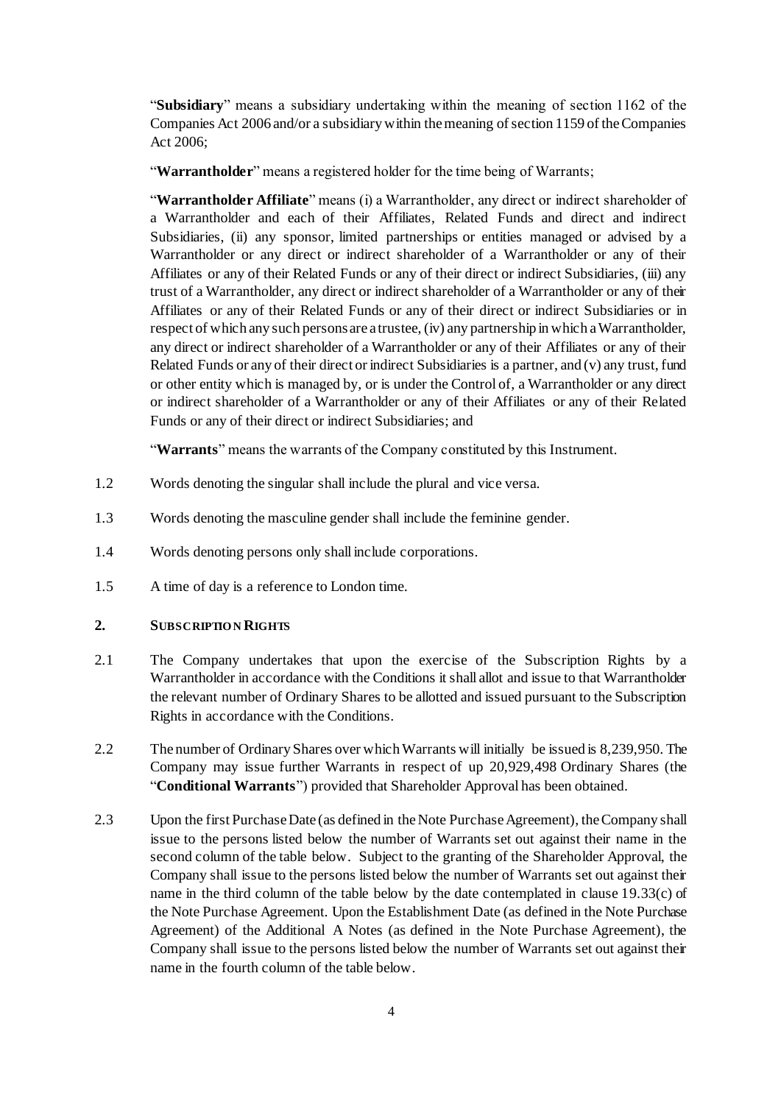"**Subsidiary**" means a subsidiary undertaking within the meaning of section 1162 of the Companies Act 2006 and/or a subsidiary within the meaning of section 1159 of the Companies Act 2006;

"**Warrantholder**" means a registered holder for the time being of Warrants;

"**Warrantholder Affiliate**" means (i) a Warrantholder, any direct or indirect shareholder of a Warrantholder and each of their Affiliates, Related Funds and direct and indirect Subsidiaries, (ii) any sponsor, limited partnerships or entities managed or advised by a Warrantholder or any direct or indirect shareholder of a Warrantholder or any of their Affiliates or any of their Related Funds or any of their direct or indirect Subsidiaries, (iii) any trust of a Warrantholder, any direct or indirect shareholder of a Warrantholder or any of their Affiliates or any of their Related Funds or any of their direct or indirect Subsidiaries or in respect of which any such persons are a trustee, (iv) any partnership in which a Warrantholder, any direct or indirect shareholder of a Warrantholder or any of their Affiliates or any of their Related Funds or any of their direct or indirect Subsidiaries is a partner, and (v) any trust, fund or other entity which is managed by, or is under the Control of, a Warrantholder or any direct or indirect shareholder of a Warrantholder or any of their Affiliates or any of their Related Funds or any of their direct or indirect Subsidiaries; and

"**Warrants**" means the warrants of the Company constituted by this Instrument.

- 1.2 Words denoting the singular shall include the plural and vice versa.
- 1.3 Words denoting the masculine gender shall include the feminine gender.
- 1.4 Words denoting persons only shall include corporations.
- 1.5 A time of day is a reference to London time.

### **2. SUBSCRIPTIO N RIGHTS**

- 2.1 The Company undertakes that upon the exercise of the Subscription Rights by a Warrantholder in accordance with the Conditions it shall allot and issue to that Warrantholder the relevant number of Ordinary Shares to be allotted and issued pursuant to the Subscription Rights in accordance with the Conditions.
- 2.2 The number of Ordinary Shares over which Warrants will initially be issued is 8,239,950. The Company may issue further Warrants in respect of up 20,929,498 Ordinary Shares (the "**Conditional Warrants**") provided that Shareholder Approval has been obtained.
- 2.3 Upon the first Purchase Date (as defined in the Note Purchase Agreement), the Company shall issue to the persons listed below the number of Warrants set out against their name in the second column of the table below. Subject to the granting of the Shareholder Approval, the Company shall issue to the persons listed below the number of Warrants set out against their name in the third column of the table below by the date contemplated in clause 19.33(c) of the Note Purchase Agreement. Upon the Establishment Date (as defined in the Note Purchase Agreement) of the Additional A Notes (as defined in the Note Purchase Agreement), the Company shall issue to the persons listed below the number of Warrants set out against their name in the fourth column of the table below.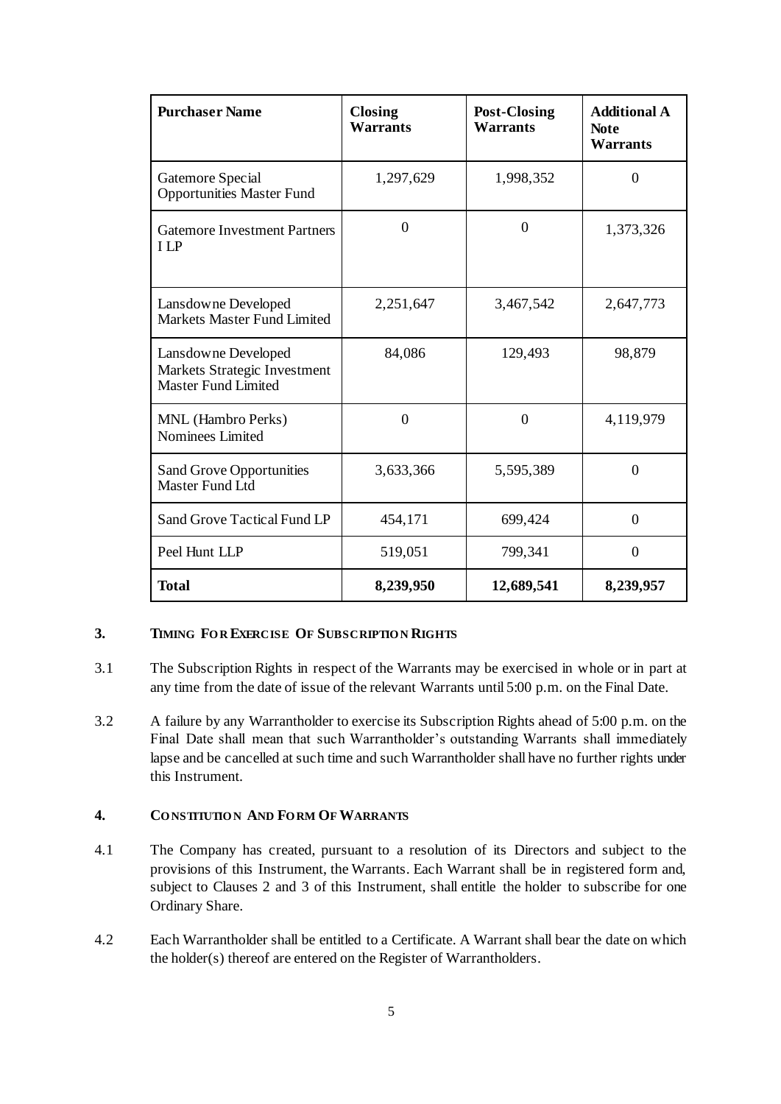| <b>Purchaser Name</b>                                                             | <b>Closing</b><br><b>Warrants</b> | <b>Post-Closing</b><br><b>Warrants</b> | <b>Additional A</b><br><b>Note</b><br><b>Warrants</b> |  |
|-----------------------------------------------------------------------------------|-----------------------------------|----------------------------------------|-------------------------------------------------------|--|
| Gatemore Special<br><b>Opportunities Master Fund</b>                              | 1,297,629                         | 1,998,352                              | $\overline{0}$                                        |  |
| <b>Gatemore Investment Partners</b><br><b>ILP</b>                                 | $\theta$                          | $\theta$                               | 1,373,326                                             |  |
| Lansdowne Developed<br>Markets Master Fund Limited                                | 2,251,647                         | 3,467,542                              | 2,647,773                                             |  |
| Lansdowne Developed<br>Markets Strategic Investment<br><b>Master Fund Limited</b> | 84,086                            | 129,493                                | 98,879                                                |  |
| MNL (Hambro Perks)<br>Nominees Limited                                            | $\overline{0}$                    | $\overline{0}$                         | 4,119,979                                             |  |
| <b>Sand Grove Opportunities</b><br>Master Fund Ltd                                | 3,633,366                         | 5,595,389                              | $\Omega$                                              |  |
| Sand Grove Tactical Fund LP                                                       | 454,171                           | 699,424                                | $\overline{0}$                                        |  |
| Peel Hunt LLP                                                                     | 519,051                           | 799,341                                | $\overline{0}$                                        |  |
| <b>Total</b>                                                                      | 8,239,950                         | 12,689,541                             | 8,239,957                                             |  |

### <span id="page-10-0"></span>**3. TIMING FO R EXERCISE OF SUBSCRIPTIO N RIGHTS**

- 3.1 The Subscription Rights in respect of the Warrants may be exercised in whole or in part at any time from the date of issue of the relevant Warrants until 5:00 p.m. on the Final Date.
- 3.2 A failure by any Warrantholder to exercise its Subscription Rights ahead of 5:00 p.m. on the Final Date shall mean that such Warrantholder's outstanding Warrants shall immediately lapse and be cancelled at such time and such Warrantholder shall have no further rights under this Instrument.

## **4. CO NSTITUTIO N AND FO RM OF WARRANTS**

- 4.1 The Company has created, pursuant to a resolution of its Directors and subject to the provisions of this Instrument, the Warrants. Each Warrant shall be in registered form and, subject to Clauses [2](#page--1-1) and [3](#page-10-0) of this Instrument, shall entitle the holder to subscribe for one Ordinary Share.
- 4.2 Each Warrantholder shall be entitled to a Certificate. A Warrant shall bear the date on which the holder(s) thereof are entered on the Register of Warrantholders.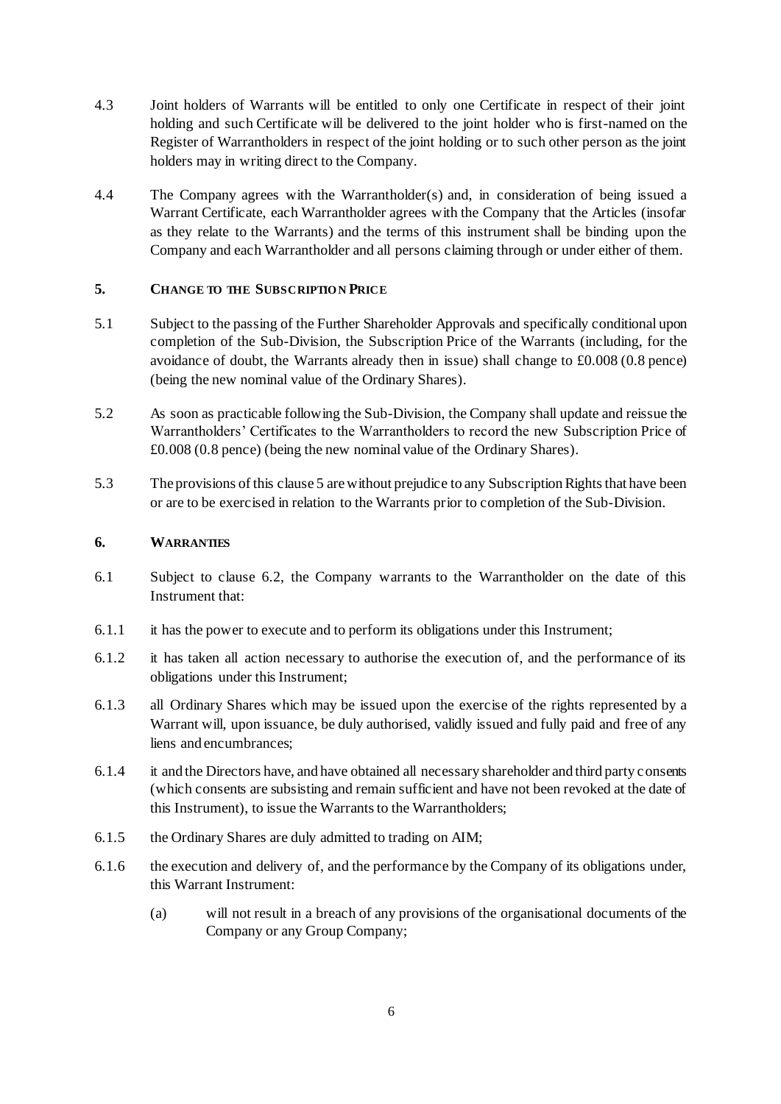- 4.3 Joint holders of Warrants will be entitled to only one Certificate in respect of their joint holding and such Certificate will be delivered to the joint holder who is first-named on the Register of Warrantholders in respect of the joint holding or to such other person as the joint holders may in writing direct to the Company.
- 4.4 The Company agrees with the Warrantholder(s) and, in consideration of being issued a Warrant Certificate, each Warrantholder agrees with the Company that the Articles (insofar as they relate to the Warrants) and the terms of this instrument shall be binding upon the Company and each Warrantholder and all persons claiming through or under either of them.

### <span id="page-11-0"></span>**5. CHANGE TO THE SUBSCRIPTIO N PRICE**

- 5.1 Subject to the passing of the Further Shareholder Approvals and specifically conditional upon completion of the Sub-Division, the Subscription Price of the Warrants (including, for the avoidance of doubt, the Warrants already then in issue) shall change to £0.008 (0.8 pence) (being the new nominal value of the Ordinary Shares).
- 5.2 As soon as practicable following the Sub-Division, the Company shall update and reissue the Warrantholders' Certificates to the Warrantholders to record the new Subscription Price of £0.008 (0.8 pence) (being the new nominal value of the Ordinary Shares).
- 5.3 The provisions of this claus[e 5](#page-11-0) arewithout prejudice to any Subscription Rights that have been or are to be exercised in relation to the Warrants prior to completion of the Sub-Division.

### **6. WARRANTIES**

- 6.1 Subject to clause [6.2,](#page--1-9) the Company warrants to the Warrantholder on the date of this Instrument that:
- 6.1.1 it has the power to execute and to perform its obligations under this Instrument;
- 6.1.2 it has taken all action necessary to authorise the execution of, and the performance of its obligations under this Instrument;
- 6.1.3 all Ordinary Shares which may be issued upon the exercise of the rights represented by a Warrant will, upon issuance, be duly authorised, validly issued and fully paid and free of any liens and encumbrances;
- 6.1.4 it and the Directors have, and have obtained all necessary shareholder and third party consents (which consents are subsisting and remain sufficient and have not been revoked at the date of this Instrument), to issue the Warrants to the Warrantholders;
- 6.1.5 the Ordinary Shares are duly admitted to trading on AIM;
- 6.1.6 the execution and delivery of, and the performance by the Company of its obligations under, this Warrant Instrument:
	- (a) will not result in a breach of any provisions of the organisational documents of the Company or any Group Company;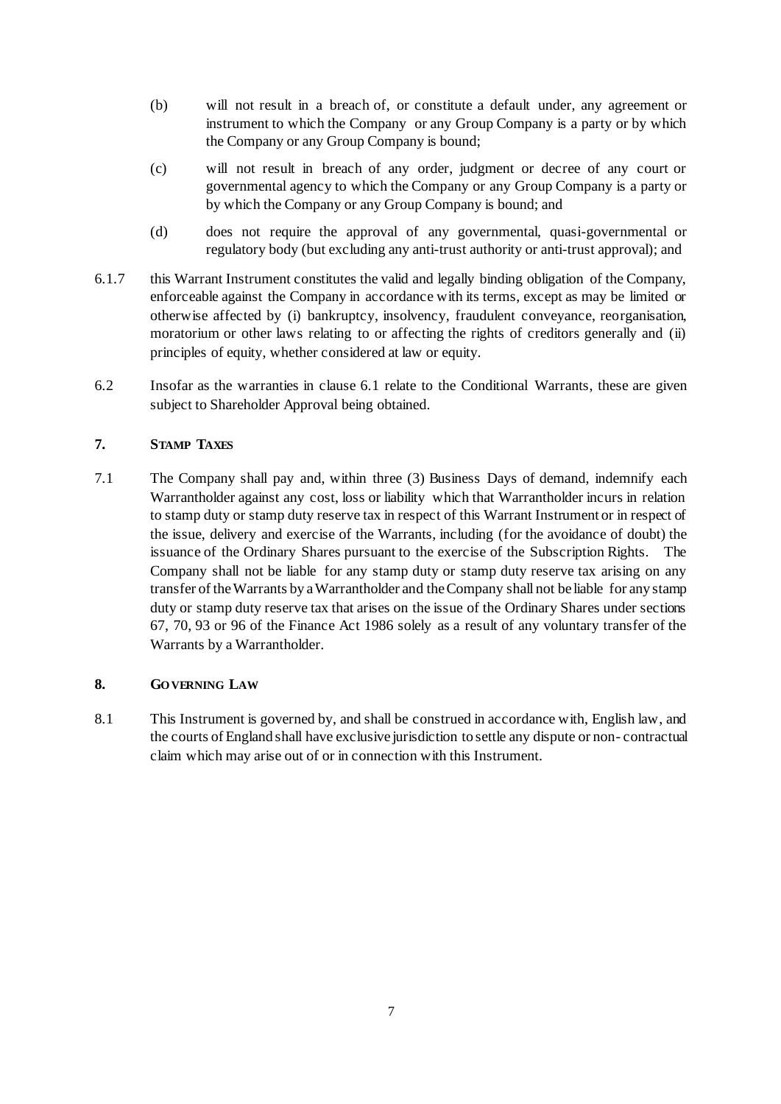- (b) will not result in a breach of, or constitute a default under, any agreement or instrument to which the Company or any Group Company is a party or by which the Company or any Group Company is bound;
- (c) will not result in breach of any order, judgment or decree of any court or governmental agency to which the Company or any Group Company is a party or by which the Company or any Group Company is bound; and
- (d) does not require the approval of any governmental, quasi-governmental or regulatory body (but excluding any anti-trust authority or anti-trust approval); and
- 6.1.7 this Warrant Instrument constitutes the valid and legally binding obligation of the Company, enforceable against the Company in accordance with its terms, except as may be limited or otherwise affected by (i) bankruptcy, insolvency, fraudulent conveyance, reorganisation, moratorium or other laws relating to or affecting the rights of creditors generally and (ii) principles of equity, whether considered at law or equity.
- 6.2 Insofar as the warranties in clause [6.1](#page--1-10) relate to the Conditional Warrants, these are given subject to Shareholder Approval being obtained.

### **7. STAMP TAXES**

7.1 The Company shall pay and, within three (3) Business Days of demand, indemnify each Warrantholder against any cost, loss or liability which that Warrantholder incurs in relation to stamp duty or stamp duty reserve tax in respect of this Warrant Instrument or in respect of the issue, delivery and exercise of the Warrants, including (for the avoidance of doubt) the issuance of the Ordinary Shares pursuant to the exercise of the Subscription Rights. The Company shall not be liable for any stamp duty or stamp duty reserve tax arising on any transfer of the Warrants by a Warrantholder and the Company shall not be liable for any stamp duty or stamp duty reserve tax that arises on the issue of the Ordinary Shares under sections 67, 70, 93 or 96 of the Finance Act 1986 solely as a result of any voluntary transfer of the Warrants by a Warrantholder.

## **8. GO VERNING LAW**

8.1 This Instrument is governed by, and shall be construed in accordance with, English law, and the courts of England shall have exclusive jurisdiction to settle any dispute or non- contractual claim which may arise out of or in connection with this Instrument.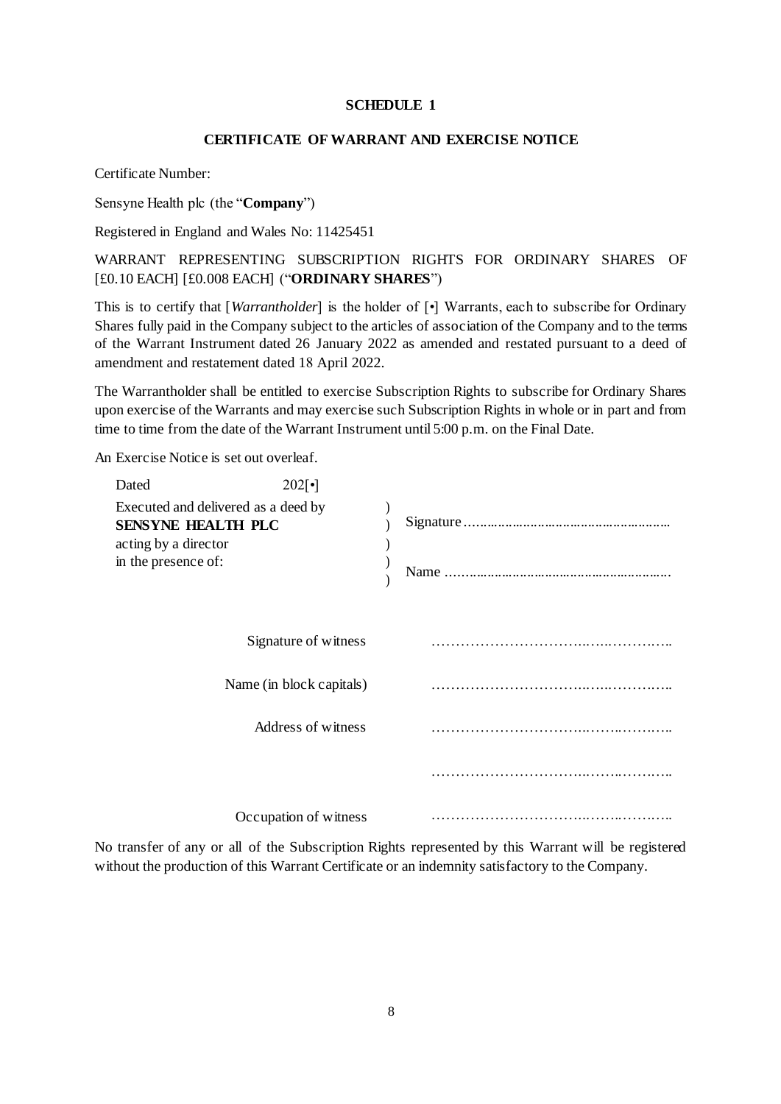#### **SCHEDULE 1**

#### **CERTIFICATE OF WARRANT AND EXERCISE NOTICE**

Certificate Number:

Sensyne Health plc (the "**Company**")

Registered in England and Wales No: 11425451

WARRANT REPRESENTING SUBSCRIPTION RIGHTS FOR ORDINARY SHARES OF [£0.10 EACH] [£0.008 EACH] ("**ORDINARY SHARES**")

This is to certify that [*Warrantholder*] is the holder of [•] Warrants, each to subscribe for Ordinary Shares fully paid in the Company subject to the articles of association of the Company and to the terms of the Warrant Instrument dated 26 January 2022 as amended and restated pursuant to a deed of amendment and restatement dated 18 April 2022.

The Warrantholder shall be entitled to exercise Subscription Rights to subscribe for Ordinary Shares upon exercise of the Warrants and may exercise such Subscription Rights in whole or in part and from time to time from the date of the Warrant Instrument until 5:00 p.m. on the Final Date.

An Exercise Notice is set out overleaf.

| Dated                                                            | $202[\cdot]$             |  |
|------------------------------------------------------------------|--------------------------|--|
| Executed and delivered as a deed by<br><b>SENSYNE HEALTH PLC</b> |                          |  |
| acting by a director<br>in the presence of:                      |                          |  |
|                                                                  | Signature of witness     |  |
|                                                                  | Name (in block capitals) |  |
|                                                                  | Address of witness       |  |
|                                                                  |                          |  |
|                                                                  | Occupation of witness    |  |

No transfer of any or all of the Subscription Rights represented by this Warrant will be registered without the production of this Warrant Certificate or an indemnity satisfactory to the Company.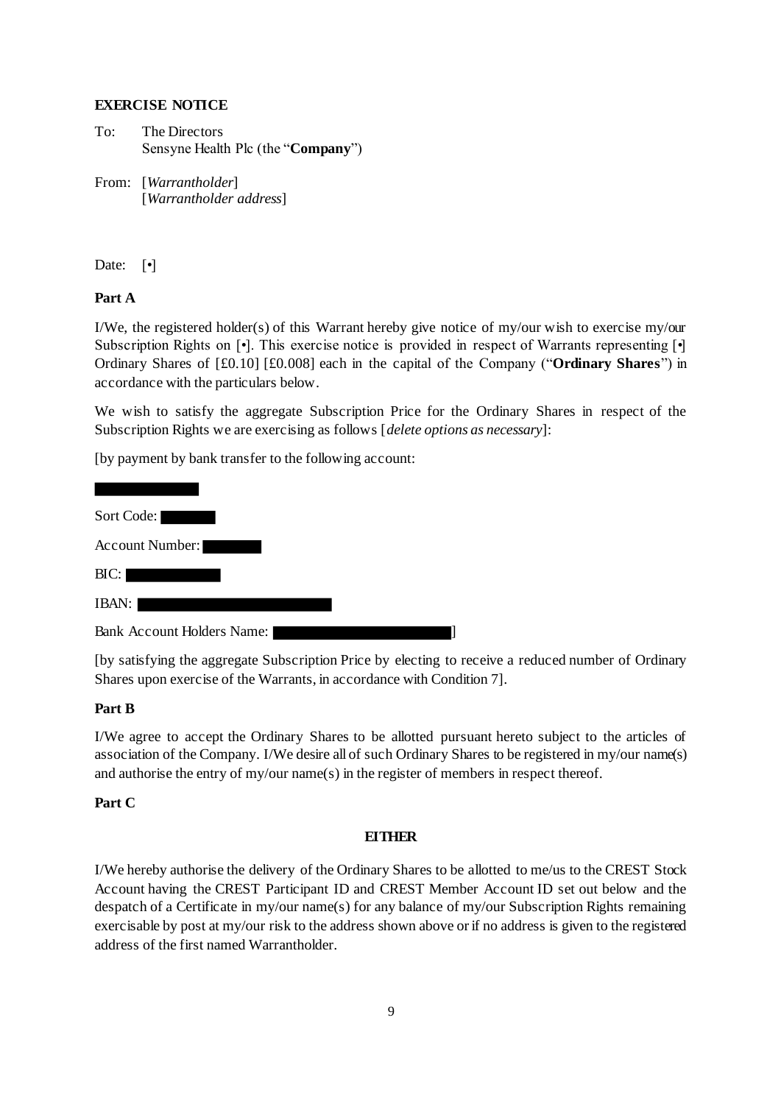### **EXERCISE NOTICE**

To: The Directors Sensyne Health Plc (the "**Company**")

From: [*Warrantholder*] [*Warrantholder address*]

Date: [ $\bullet$ ]

## **Part A**

I/We, the registered holder(s) of this Warrant hereby give notice of my/our wish to exercise my/our Subscription Rights on  $\lceil \cdot \rceil$ . This exercise notice is provided in respect of Warrants representing  $\lceil \cdot \rceil$ Ordinary Shares of [£0.10] [£0.008] each in the capital of the Company ("**Ordinary Shares**") in accordance with the particulars below.

We wish to satisfy the aggregate Subscription Price for the Ordinary Shares in respect of the Subscription Rights we are exercising as follows [*delete options as necessary*]:

[by payment by bank transfer to the following account:

| Sort Code:                        |  |  |
|-----------------------------------|--|--|
| <b>Account Number:</b>            |  |  |
| BIC:                              |  |  |
| IBAN:                             |  |  |
| <b>Bank Account Holders Name:</b> |  |  |

[by satisfying the aggregate Subscription Price by electing to receive a reduced number of Ordinary Shares upon exercise of the Warrants, in accordance with Condition 7].

## **Part B**

I/We agree to accept the Ordinary Shares to be allotted pursuant hereto subject to the articles of association of the Company. I/We desire all of such Ordinary Shares to be registered in my/our name(s) and authorise the entry of my/our name(s) in the register of members in respect thereof.

### **Part C**

### **EITHER**

I/We hereby authorise the delivery of the Ordinary Shares to be allotted to me/us to the CREST Stock Account having the CREST Participant ID and CREST Member Account ID set out below and the despatch of a Certificate in my/our name(s) for any balance of my/our Subscription Rights remaining exercisable by post at my/our risk to the address shown above or if no address is given to the registered address of the first named Warrantholder.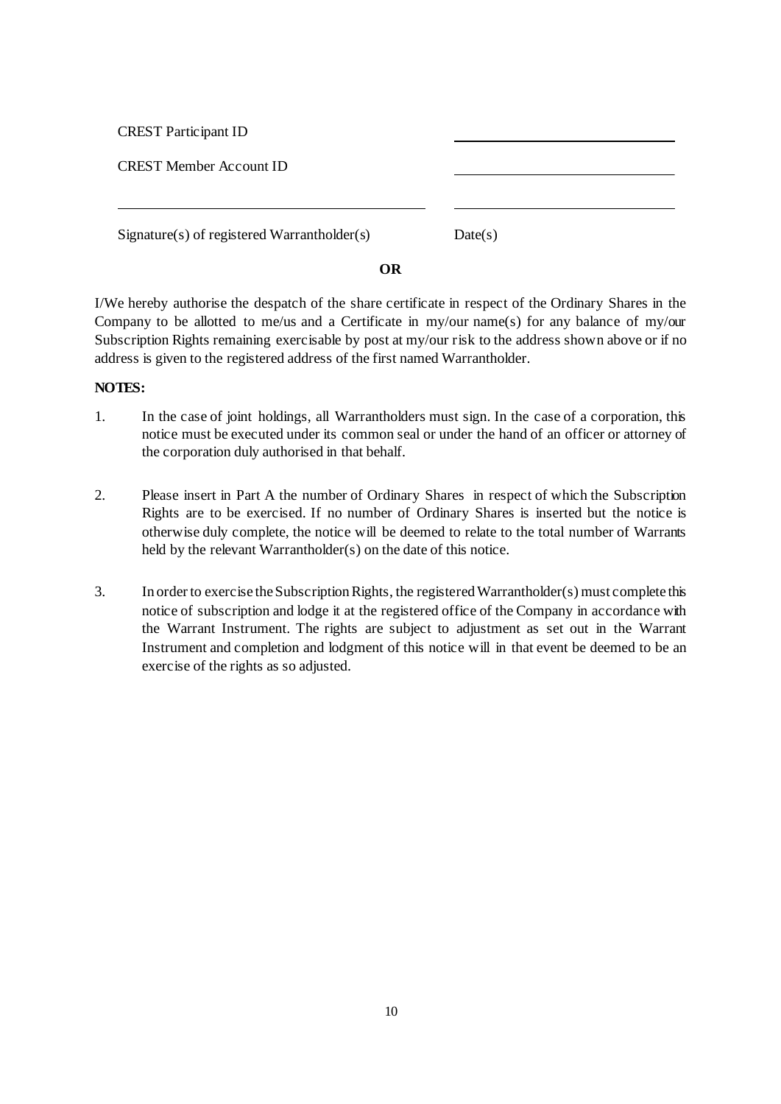CREST Participant ID

CREST Member Account ID

Signature(s) of registered Warrantholder(s) Date(s)

### **OR**

I/We hereby authorise the despatch of the share certificate in respect of the Ordinary Shares in the Company to be allotted to me/us and a Certificate in my/our name(s) for any balance of my/our Subscription Rights remaining exercisable by post at my/our risk to the address shown above or if no address is given to the registered address of the first named Warrantholder.

### **NOTES:**

- 1. In the case of joint holdings, all Warrantholders must sign. In the case of a corporation, this notice must be executed under its common seal or under the hand of an officer or attorney of the corporation duly authorised in that behalf.
- 2. Please insert in Part A the number of Ordinary Shares in respect of which the Subscription Rights are to be exercised. If no number of Ordinary Shares is inserted but the notice is otherwise duly complete, the notice will be deemed to relate to the total number of Warrants held by the relevant Warrantholder(s) on the date of this notice.
- 3. In order to exercise the Subscription Rights, the registered Warrantholder(s) must complete this notice of subscription and lodge it at the registered office of the Company in accordance with the Warrant Instrument. The rights are subject to adjustment as set out in the Warrant Instrument and completion and lodgment of this notice will in that event be deemed to be an exercise of the rights as so adjusted.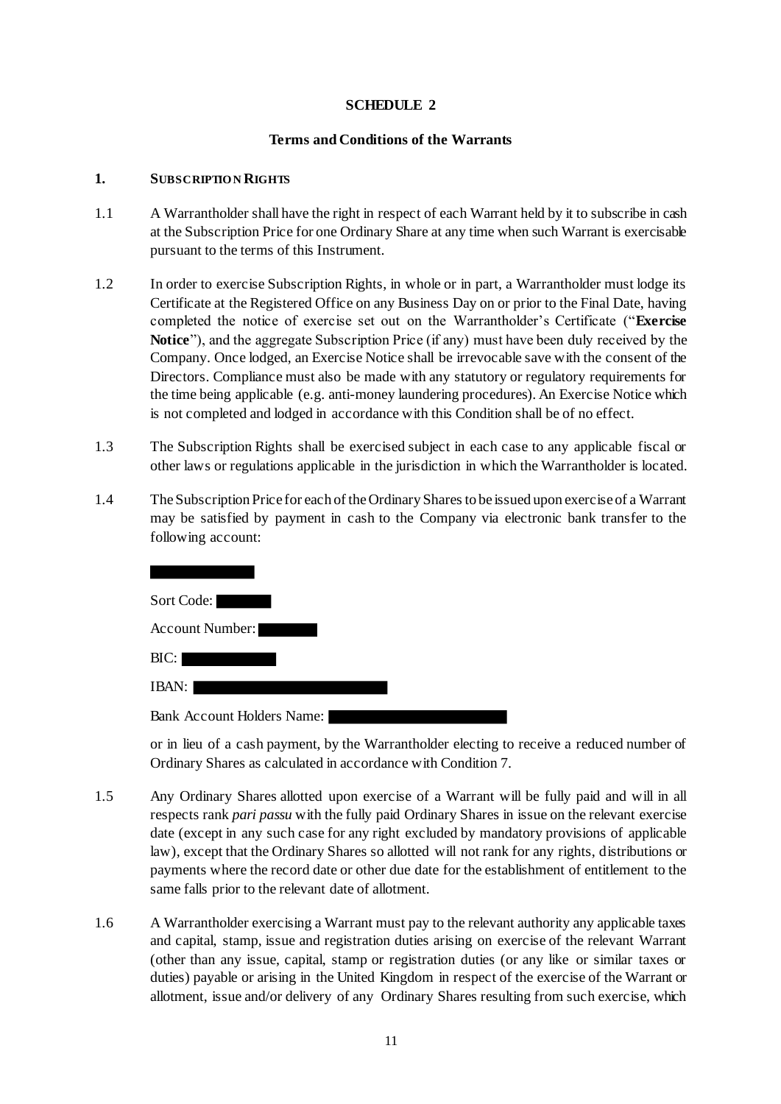### **SCHEDULE 2**

### **Terms and Conditions of the Warrants**

#### **1. SUBSCRIPTIO N RIGHTS**

- 1.1 A Warrantholder shall have the right in respect of each Warrant held by it to subscribe in cash at the Subscription Price for one Ordinary Share at any time when such Warrant is exercisable pursuant to the terms of this Instrument.
- 1.2 In order to exercise Subscription Rights, in whole or in part, a Warrantholder must lodge its Certificate at the Registered Office on any Business Day on or prior to the Final Date, having completed the notice of exercise set out on the Warrantholder's Certificate ("**Exercise Notice**"), and the aggregate Subscription Price (if any) must have been duly received by the Company. Once lodged, an Exercise Notice shall be irrevocable save with the consent of the Directors. Compliance must also be made with any statutory or regulatory requirements for the time being applicable (e.g. anti-money laundering procedures). An Exercise Notice which is not completed and lodged in accordance with this Condition shall be of no effect.
- 1.3 The Subscription Rights shall be exercised subject in each case to any applicable fiscal or other laws or regulations applicable in the jurisdiction in which the Warrantholder is located.
- 1.4 The Subscription Price for each of the Ordinary Shares to be issued upon exercise of a Warrant may be satisfied by payment in cash to the Company via electronic bank transfer to the following account:



or in lieu of a cash payment, by the Warrantholder electing to receive a reduced number of Ordinary Shares as calculated in accordance with Condition 7.

- 1.5 Any Ordinary Shares allotted upon exercise of a Warrant will be fully paid and will in all respects rank *pari passu* with the fully paid Ordinary Shares in issue on the relevant exercise date (except in any such case for any right excluded by mandatory provisions of applicable law), except that the Ordinary Shares so allotted will not rank for any rights, distributions or payments where the record date or other due date for the establishment of entitlement to the same falls prior to the relevant date of allotment.
- 1.6 A Warrantholder exercising a Warrant must pay to the relevant authority any applicable taxes and capital, stamp, issue and registration duties arising on exercise of the relevant Warrant (other than any issue, capital, stamp or registration duties (or any like or similar taxes or duties) payable or arising in the United Kingdom in respect of the exercise of the Warrant or allotment, issue and/or delivery of any Ordinary Shares resulting from such exercise, which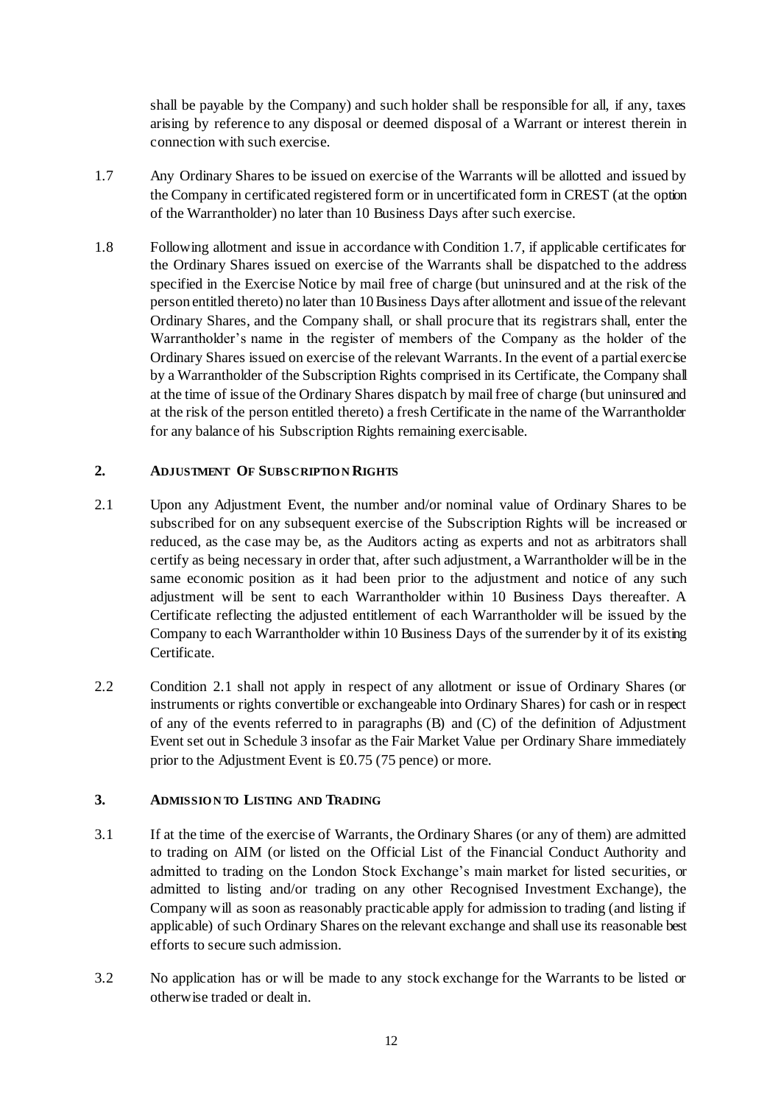shall be payable by the Company) and such holder shall be responsible for all, if any, taxes arising by reference to any disposal or deemed disposal of a Warrant or interest therein in connection with such exercise.

- 1.7 Any Ordinary Shares to be issued on exercise of the Warrants will be allotted and issued by the Company in certificated registered form or in uncertificated form in CREST (at the option of the Warrantholder) no later than 10 Business Days after such exercise.
- 1.8 Following allotment and issue in accordance with Condition 1.7, if applicable certificates for the Ordinary Shares issued on exercise of the Warrants shall be dispatched to the address specified in the Exercise Notice by mail free of charge (but uninsured and at the risk of the person entitled thereto) no later than 10 Business Days after allotment and issue of the relevant Ordinary Shares, and the Company shall, or shall procure that its registrars shall, enter the Warrantholder's name in the register of members of the Company as the holder of the Ordinary Shares issued on exercise of the relevant Warrants. In the event of a partial exercise by a Warrantholder of the Subscription Rights comprised in its Certificate, the Company shall at the time of issue of the Ordinary Shares dispatch by mail free of charge (but uninsured and at the risk of the person entitled thereto) a fresh Certificate in the name of the Warrantholder for any balance of his Subscription Rights remaining exercisable.

## **2. ADJUSTMENT OF SUBSCRIPTIO N RIGHTS**

- 2.1 Upon any Adjustment Event, the number and/or nominal value of Ordinary Shares to be subscribed for on any subsequent exercise of the Subscription Rights will be increased or reduced, as the case may be, as the Auditors acting as experts and not as arbitrators shall certify as being necessary in order that, after such adjustment, a Warrantholder will be in the same economic position as it had been prior to the adjustment and notice of any such adjustment will be sent to each Warrantholder within 10 Business Days thereafter. A Certificate reflecting the adjusted entitlement of each Warrantholder will be issued by the Company to each Warrantholder within 10 Business Days of the surrender by it of its existing Certificate.
- 2.2 Condition 2.1 shall not apply in respect of any allotment or issue of Ordinary Shares (or instruments or rights convertible or exchangeable into Ordinary Shares) for cash or in respect of any of the events referred to in paragraphs (B) and (C) of the definition of Adjustment Event set out in Schedule 3 insofar as the Fair Market Value per Ordinary Share immediately prior to the Adjustment Event is £0.75 (75 pence) or more.

## **3. ADMISSIO N TO LISTING AND TRADING**

- 3.1 If at the time of the exercise of Warrants, the Ordinary Shares (or any of them) are admitted to trading on AIM (or listed on the Official List of the Financial Conduct Authority and admitted to trading on the London Stock Exchange's main market for listed securities, or admitted to listing and/or trading on any other Recognised Investment Exchange), the Company will as soon as reasonably practicable apply for admission to trading (and listing if applicable) of such Ordinary Shares on the relevant exchange and shall use its reasonable best efforts to secure such admission.
- 3.2 No application has or will be made to any stock exchange for the Warrants to be listed or otherwise traded or dealt in.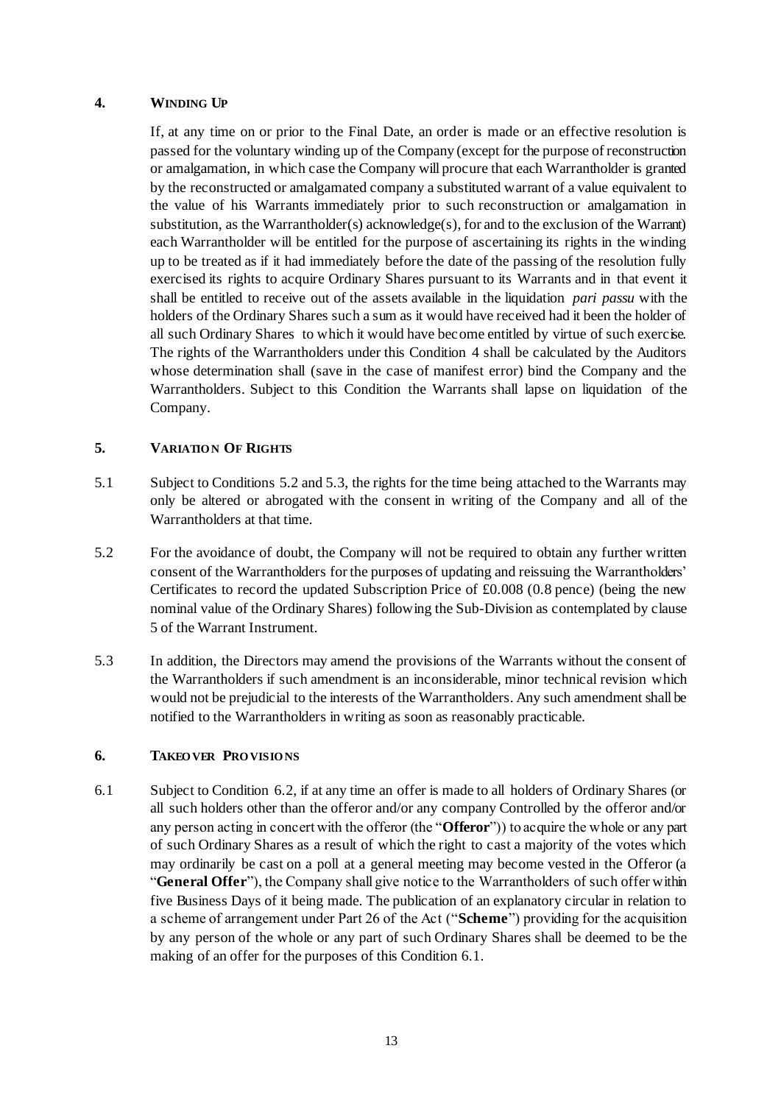### **4. WINDING UP**

If, at any time on or prior to the Final Date, an order is made or an effective resolution is passed for the voluntary winding up of the Company (except for the purpose of reconstruction or amalgamation, in which case the Company will procure that each Warrantholder is granted by the reconstructed or amalgamated company a substituted warrant of a value equivalent to the value of his Warrants immediately prior to such reconstruction or amalgamation in substitution, as the Warrantholder(s) acknowledge(s), for and to the exclusion of the Warrant) each Warrantholder will be entitled for the purpose of ascertaining its rights in the winding up to be treated as if it had immediately before the date of the passing of the resolution fully exercised its rights to acquire Ordinary Shares pursuant to its Warrants and in that event it shall be entitled to receive out of the assets available in the liquidation *pari passu* with the holders of the Ordinary Shares such a sum as it would have received had it been the holder of all such Ordinary Shares to which it would have become entitled by virtue of such exercise. The rights of the Warrantholders under this Condition [4](#page--1-3) shall be calculated by the Auditors whose determination shall (save in the case of manifest error) bind the Company and the Warrantholders. Subject to this Condition the Warrants shall lapse on liquidation of the Company.

### **5. VARIATIO N OF RIGHTS**

- 5.1 Subject to Conditions [5.2](#page-18-0) and [5.3,](#page-18-1) the rights for the time being attached to the Warrants may only be altered or abrogated with the consent in writing of the Company and all of the Warrantholders at that time.
- <span id="page-18-0"></span>5.2 For the avoidance of doubt, the Company will not be required to obtain any further written consent of the Warrantholders for the purposes of updating and reissuing the Warrantholders' Certificates to record the updated Subscription Price of £0.008 (0.8 pence) (being the new nominal value of the Ordinary Shares) following the Sub-Division as contemplated by clause [5](#page--1-4) of the Warrant Instrument.
- <span id="page-18-1"></span>5.3 In addition, the Directors may amend the provisions of the Warrants without the consent of the Warrantholders if such amendment is an inconsiderable, minor technical revision which would not be prejudicial to the interests of the Warrantholders. Any such amendment shall be notified to the Warrantholders in writing as soon as reasonably practicable.

### <span id="page-18-2"></span>**6. TAKEO VER PRO VISIO NS**

6.1 Subject to Condition [6.2,](#page--1-8) if at any time an offer is made to all holders of Ordinary Shares (or all such holders other than the offeror and/or any company Controlled by the offeror and/or any person acting in concert with the offeror (the "**Offeror**")) to acquire the whole or any part of such Ordinary Shares as a result of which the right to cast a majority of the votes which may ordinarily be cast on a poll at a general meeting may become vested in the Offeror (a "**General Offer**"), the Company shall give notice to the Warrantholders of such offer within five Business Days of it being made. The publication of an explanatory circular in relation to a scheme of arrangement under Part 26 of the Act ("**Scheme**") providing for the acquisition by any person of the whole or any part of such Ordinary Shares shall be deemed to be the making of an offer for the purposes of this Conditio[n 6.1](#page-18-2).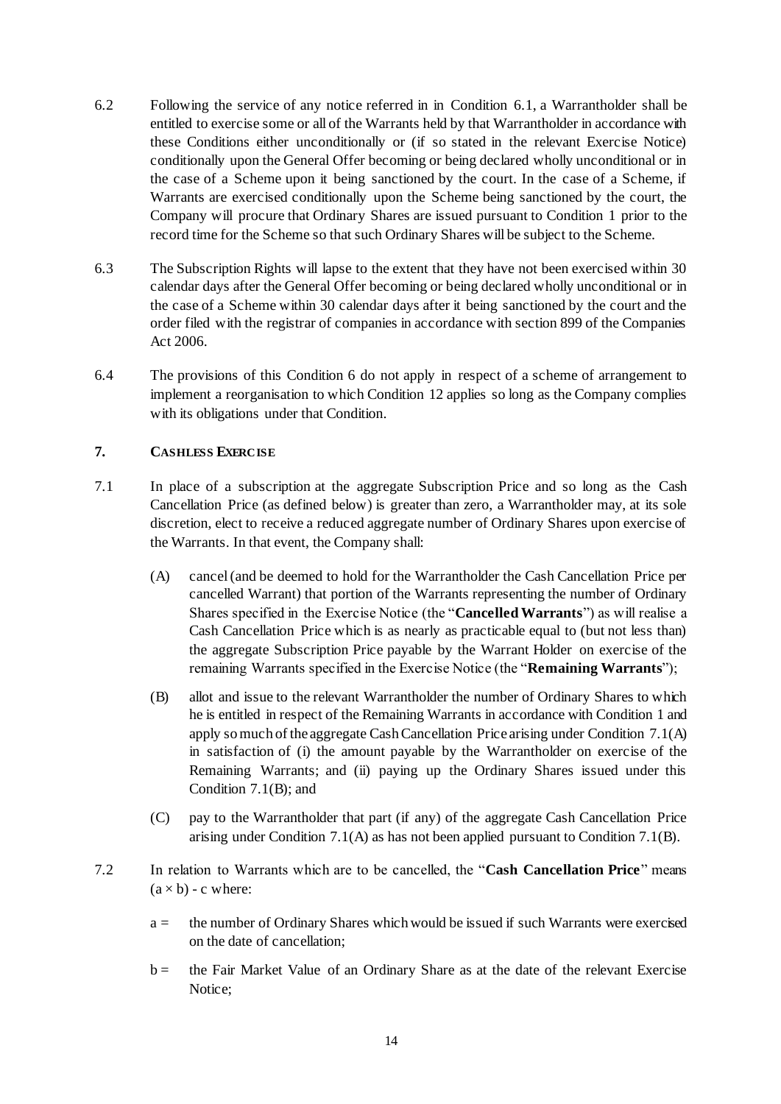- 6.2 Following the service of any notice referred in in Condition [6.1,](#page--1-11) a Warrantholder shall be entitled to exercise some or all of the Warrants held by that Warrantholder in accordance with these Conditions either unconditionally or (if so stated in the relevant Exercise Notice) conditionally upon the General Offer becoming or being declared wholly unconditional or in the case of a Scheme upon it being sanctioned by the court. In the case of a Scheme, if Warrants are exercised conditionally upon the Scheme being sanctioned by the court, the Company will procure that Ordinary Shares are issued pursuant to Condition [1](#page--1-12) prior to the record time for the Scheme so that such Ordinary Shares will be subject to the Scheme.
- 6.3 The Subscription Rights will lapse to the extent that they have not been exercised within 30 calendar days after the General Offer becoming or being declared wholly unconditional or in the case of a Scheme within 30 calendar days after it being sanctioned by the court and the order filed with the registrar of companies in accordance with section 899 of the Companies Act 2006.
- 6.4 The provisions of this Condition [6](#page--1-13) do not apply in respect of a scheme of arrangement to implement a reorganisation to which Condition [12](#page--1-14) applies so long as the Company complies with its obligations under that Condition.

## <span id="page-19-0"></span>**7. CASHLESS EXERCISE**

- 7.1 In place of a subscription at the aggregate Subscription Price and so long as the Cash Cancellation Price (as defined below) is greater than zero, a Warrantholder may, at its sole discretion, elect to receive a reduced aggregate number of Ordinary Shares upon exercise of the Warrants. In that event, the Company shall:
	- (A) cancel (and be deemed to hold for the Warrantholder the Cash Cancellation Price per cancelled Warrant) that portion of the Warrants representing the number of Ordinary Shares specified in the Exercise Notice (the "**Cancelled Warrants**") as will realise a Cash Cancellation Price which is as nearly as practicable equal to (but not less than) the aggregate Subscription Price payable by the Warrant Holder on exercise of the remaining Warrants specified in the Exercise Notice (the "**Remaining Warrants**");
	- (B) allot and issue to the relevant Warrantholder the number of Ordinary Shares to which he is entitled in respect of the Remaining Warrants in accordance with Condition [1](#page--1-12) and apply so much of the aggregate Cash Cancellation Price arising under Condition [7.1\(](#page-19-0)A) in satisfaction of (i) the amount payable by the Warrantholder on exercise of the Remaining Warrants; and (ii) paying up the Ordinary Shares issued under this Condition [7.1\(](#page-19-0)B); and
	- (C) pay to the Warrantholder that part (if any) of the aggregate Cash Cancellation Price arising under Condition [7.1\(](#page-19-0)A) as has not been applied pursuant to Condition [7.1\(](#page-19-0)B).
- 7.2 In relation to Warrants which are to be cancelled, the "**Cash Cancellation Price**" means  $(a \times b)$  - c where:
	- a = the number of Ordinary Shares which would be issued if such Warrants were exercised on the date of cancellation;
	- b = the Fair Market Value of an Ordinary Share as at the date of the relevant Exercise Notice;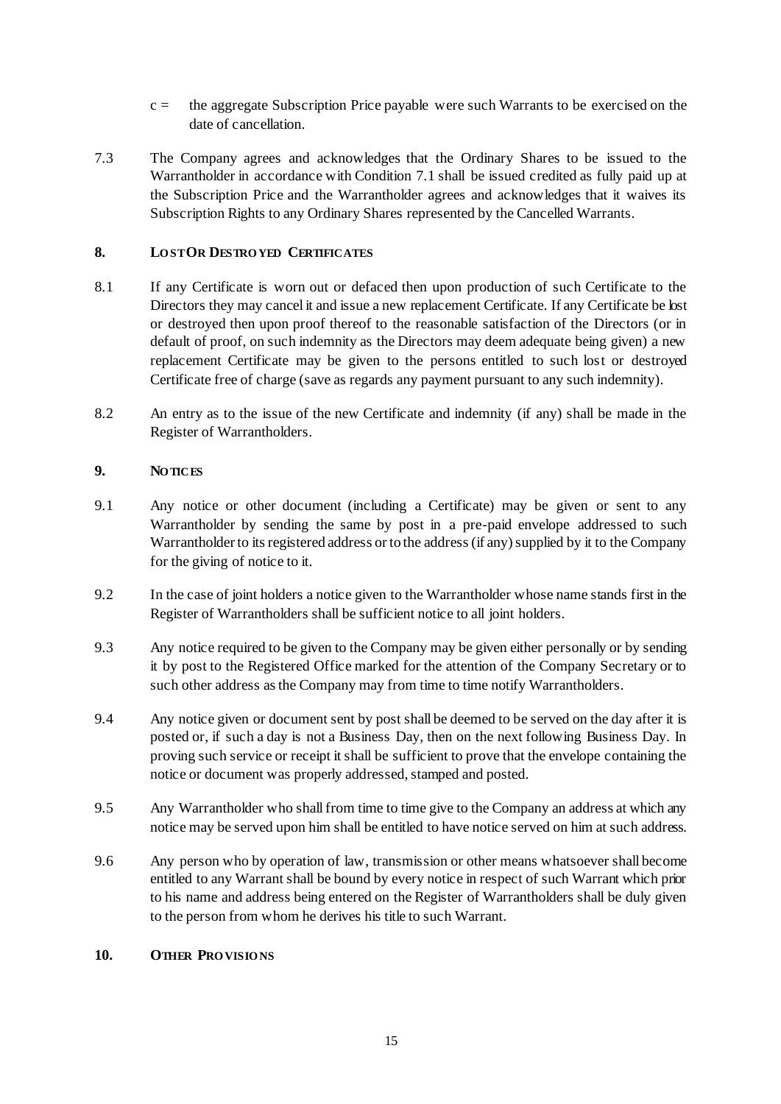- c = the aggregate Subscription Price payable were such Warrants to be exercised on the date of cancellation.
- 7.3 The Company agrees and acknowledges that the Ordinary Shares to be issued to the Warrantholder in accordance with Condition [7.1](#page--1-15) shall be issued credited as fully paid up at the Subscription Price and the Warrantholder agrees and acknowledges that it waives its Subscription Rights to any Ordinary Shares represented by the Cancelled Warrants.

## **8. LO ST OR DESTRO YED CERTIFICATES**

- 8.1 If any Certificate is worn out or defaced then upon production of such Certificate to the Directors they may cancel it and issue a new replacement Certificate. If any Certificate be lost or destroyed then upon proof thereof to the reasonable satisfaction of the Directors (or in default of proof, on such indemnity as the Directors may deem adequate being given) a new replacement Certificate may be given to the persons entitled to such lost or destroyed Certificate free of charge (save as regards any payment pursuant to any such indemnity).
- 8.2 An entry as to the issue of the new Certificate and indemnity (if any) shall be made in the Register of Warrantholders.

## **9. NO TICES**

- 9.1 Any notice or other document (including a Certificate) may be given or sent to any Warrantholder by sending the same by post in a pre-paid envelope addressed to such Warrantholder to its registered address or to the address (if any) supplied by it to the Company for the giving of notice to it.
- 9.2 In the case of joint holders a notice given to the Warrantholder whose name stands first in the Register of Warrantholders shall be sufficient notice to all joint holders.
- 9.3 Any notice required to be given to the Company may be given either personally or by sending it by post to the Registered Office marked for the attention of the Company Secretary or to such other address as the Company may from time to time notify Warrantholders.
- 9.4 Any notice given or document sent by post shall be deemed to be served on the day after it is posted or, if such a day is not a Business Day, then on the next following Business Day. In proving such service or receipt it shall be sufficient to prove that the envelope containing the notice or document was properly addressed, stamped and posted.
- 9.5 Any Warrantholder who shall from time to time give to the Company an address at which any notice may be served upon him shall be entitled to have notice served on him at such address.
- 9.6 Any person who by operation of law, transmission or other means whatsoever shall become entitled to any Warrant shall be bound by every notice in respect of such Warrant which prior to his name and address being entered on the Register of Warrantholders shall be duly given to the person from whom he derives his title to such Warrant.

## **10. OTHER PRO VISIO NS**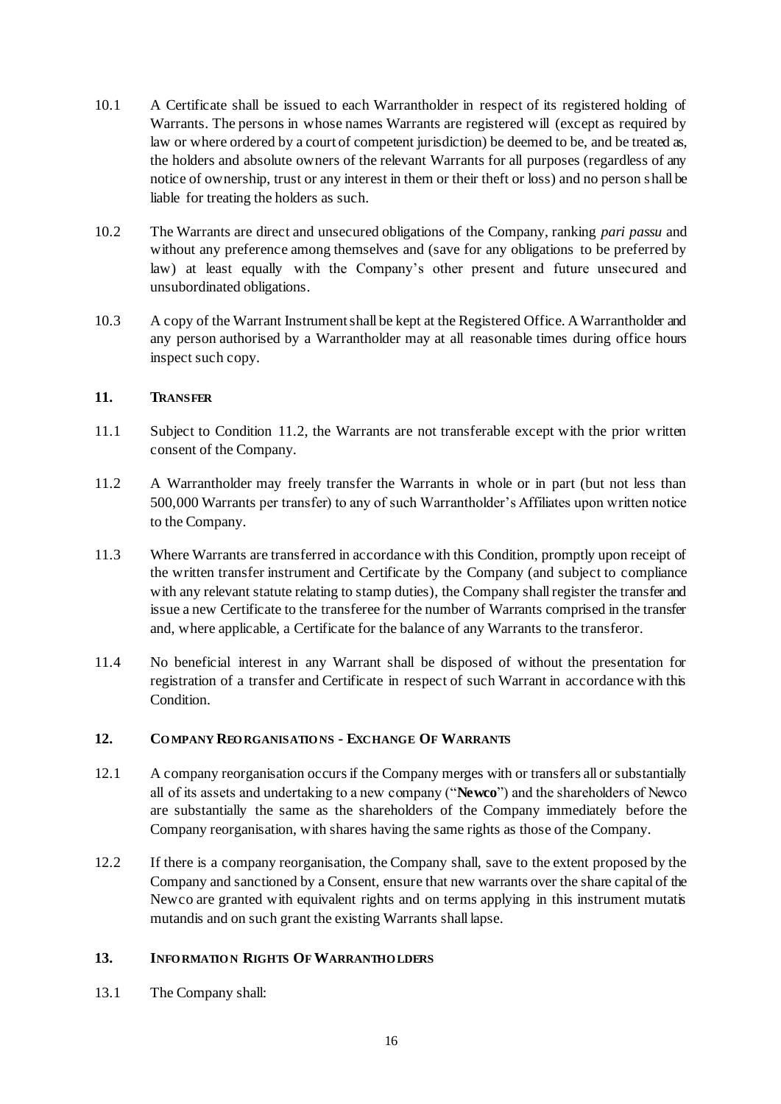- 10.1 A Certificate shall be issued to each Warrantholder in respect of its registered holding of Warrants. The persons in whose names Warrants are registered will (except as required by law or where ordered by a court of competent jurisdiction) be deemed to be, and be treated as, the holders and absolute owners of the relevant Warrants for all purposes (regardless of any notice of ownership, trust or any interest in them or their theft or loss) and no person shall be liable for treating the holders as such.
- 10.2 The Warrants are direct and unsecured obligations of the Company, ranking *pari passu* and without any preference among themselves and (save for any obligations to be preferred by law) at least equally with the Company's other present and future unsecured and unsubordinated obligations.
- 10.3 A copy of the Warrant Instrument shall be kept at the Registered Office. A Warrantholder and any person authorised by a Warrantholder may at all reasonable times during office hours inspect such copy.

## **11. TRANSFER**

- 11.1 Subject to Condition 11.2, the Warrants are not transferable except with the prior written consent of the Company.
- 11.2 A Warrantholder may freely transfer the Warrants in whole or in part (but not less than 500,000 Warrants per transfer) to any of such Warrantholder's Affiliates upon written notice to the Company.
- 11.3 Where Warrants are transferred in accordance with this Condition, promptly upon receipt of the written transfer instrument and Certificate by the Company (and subject to compliance with any relevant statute relating to stamp duties), the Company shall register the transfer and issue a new Certificate to the transferee for the number of Warrants comprised in the transfer and, where applicable, a Certificate for the balance of any Warrants to the transferor.
- 11.4 No beneficial interest in any Warrant shall be disposed of without the presentation for registration of a transfer and Certificate in respect of such Warrant in accordance with this Condition.

# **12. CO MPANY REO RGANISATIO NS - EXCHANGE OF WARRANTS**

- 12.1 A company reorganisation occurs if the Company merges with or transfers all or substantially all of its assets and undertaking to a new company ("**Newco**") and the shareholders of Newco are substantially the same as the shareholders of the Company immediately before the Company reorganisation, with shares having the same rights as those of the Company.
- 12.2 If there is a company reorganisation, the Company shall, save to the extent proposed by the Company and sanctioned by a Consent, ensure that new warrants over the share capital of the Newco are granted with equivalent rights and on terms applying in this instrument mutatis mutandis and on such grant the existing Warrants shall lapse.

## **13. INFO RMATIO N RIGHTS OF WARRANTHO LDERS**

13.1 The Company shall: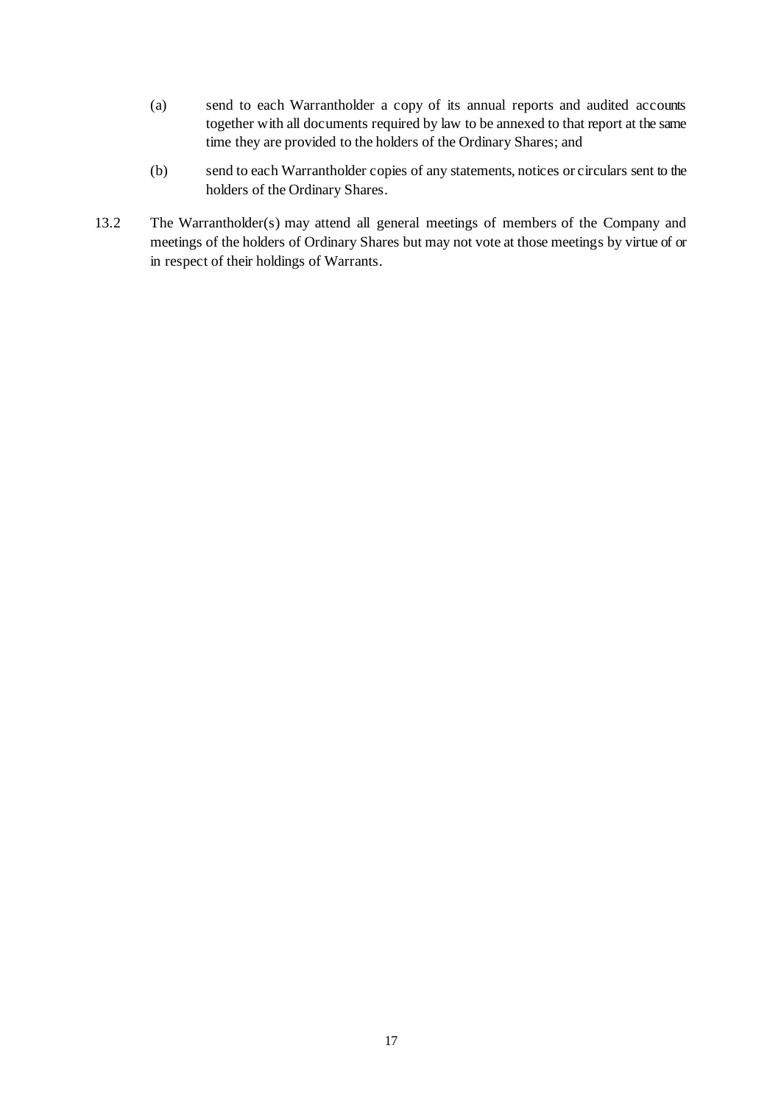- (a) send to each Warrantholder a copy of its annual reports and audited accounts together with all documents required by law to be annexed to that report at the same time they are provided to the holders of the Ordinary Shares; and
- (b) send to each Warrantholder copies of any statements, notices or circulars sent to the holders of the Ordinary Shares.
- 13.2 The Warrantholder(s) may attend all general meetings of members of the Company and meetings of the holders of Ordinary Shares but may not vote at those meetings by virtue of or in respect of their holdings of Warrants.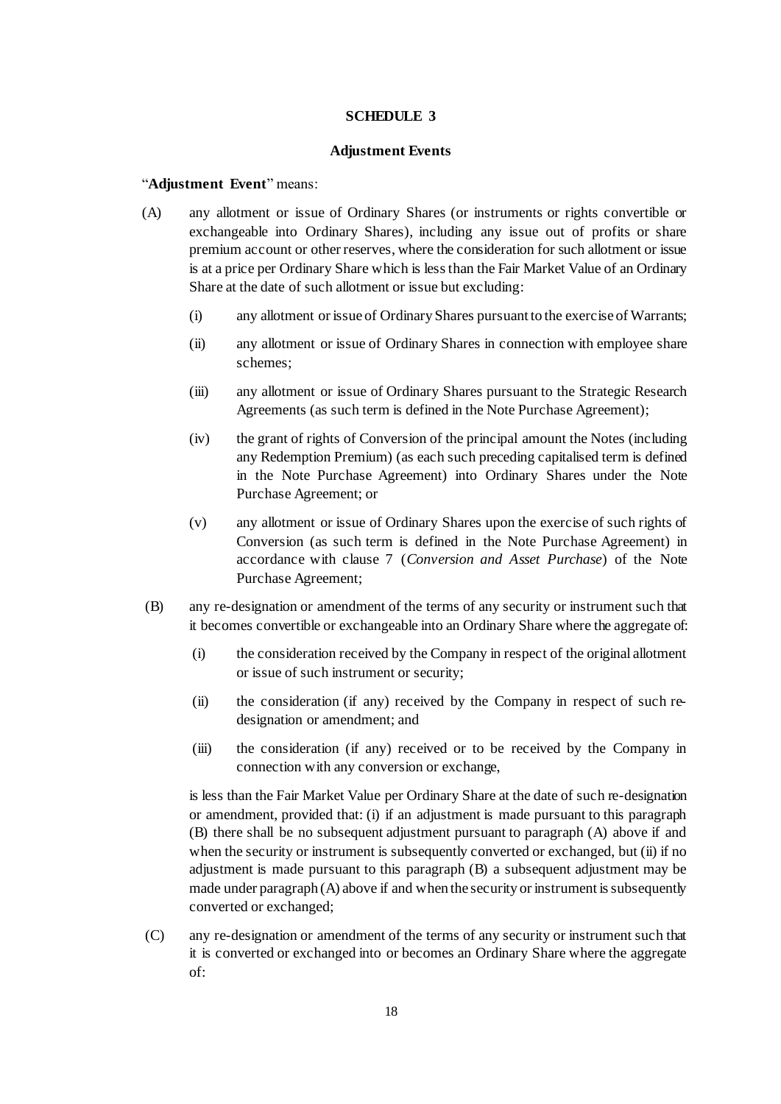#### **SCHEDULE 3**

#### **Adjustment Events**

#### "**Adjustment Event**" means:

- (A) any allotment or issue of Ordinary Shares (or instruments or rights convertible or exchangeable into Ordinary Shares), including any issue out of profits or share premium account or other reserves, where the consideration for such allotment or issue is at a price per Ordinary Share which is less than the Fair Market Value of an Ordinary Share at the date of such allotment or issue but excluding:
	- (i) any allotment or issue of Ordinary Shares pursuant to the exercise of Warrants;
	- (ii) any allotment or issue of Ordinary Shares in connection with employee share schemes;
	- (iii) any allotment or issue of Ordinary Shares pursuant to the Strategic Research Agreements (as such term is defined in the Note Purchase Agreement);
	- (iv) the grant of rights of Conversion of the principal amount the Notes (including any Redemption Premium) (as each such preceding capitalised term is defined in the Note Purchase Agreement) into Ordinary Shares under the Note Purchase Agreement; or
	- (v) any allotment or issue of Ordinary Shares upon the exercise of such rights of Conversion (as such term is defined in the Note Purchase Agreement) in accordance with clause 7 (*Conversion and Asset Purchase*) of the Note Purchase Agreement;
- (B) any re-designation or amendment of the terms of any security or instrument such that it becomes convertible or exchangeable into an Ordinary Share where the aggregate of:
	- (i) the consideration received by the Company in respect of the original allotment or issue of such instrument or security;
	- (ii) the consideration (if any) received by the Company in respect of such redesignation or amendment; and
	- (iii) the consideration (if any) received or to be received by the Company in connection with any conversion or exchange,

is less than the Fair Market Value per Ordinary Share at the date of such re-designation or amendment, provided that: (i) if an adjustment is made pursuant to this paragraph (B) there shall be no subsequent adjustment pursuant to paragraph (A) above if and when the security or instrument is subsequently converted or exchanged, but (ii) if no adjustment is made pursuant to this paragraph (B) a subsequent adjustment may be made under paragraph (A) above if and when the security or instrument is subsequently converted or exchanged;

(C) any re-designation or amendment of the terms of any security or instrument such that it is converted or exchanged into or becomes an Ordinary Share where the aggregate of: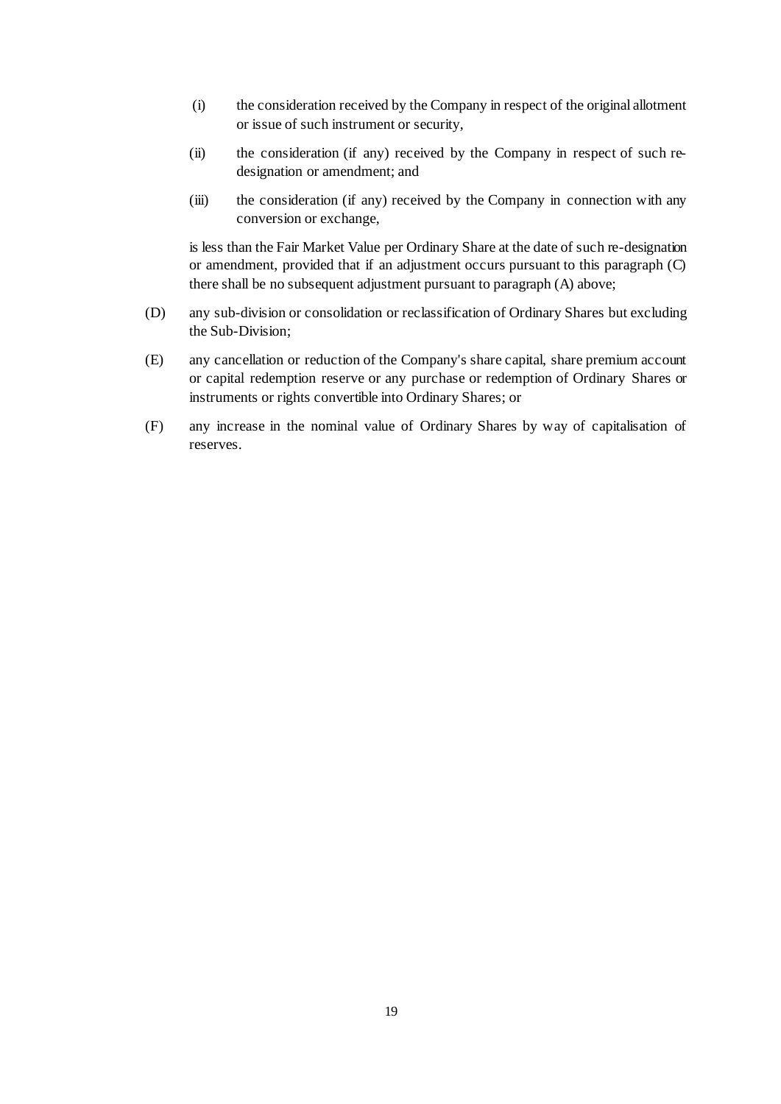- (i) the consideration received by the Company in respect of the original allotment or issue of such instrument or security,
- (ii) the consideration (if any) received by the Company in respect of such redesignation or amendment; and
- (iii) the consideration (if any) received by the Company in connection with any conversion or exchange,

is less than the Fair Market Value per Ordinary Share at the date of such re-designation or amendment, provided that if an adjustment occurs pursuant to this paragraph (C) there shall be no subsequent adjustment pursuant to paragraph (A) above;

- (D) any sub-division or consolidation or reclassification of Ordinary Shares but excluding the Sub-Division;
- (E) any cancellation or reduction of the Company's share capital, share premium account or capital redemption reserve or any purchase or redemption of Ordinary Shares or instruments or rights convertible into Ordinary Shares; or
- (F) any increase in the nominal value of Ordinary Shares by way of capitalisation of reserves.